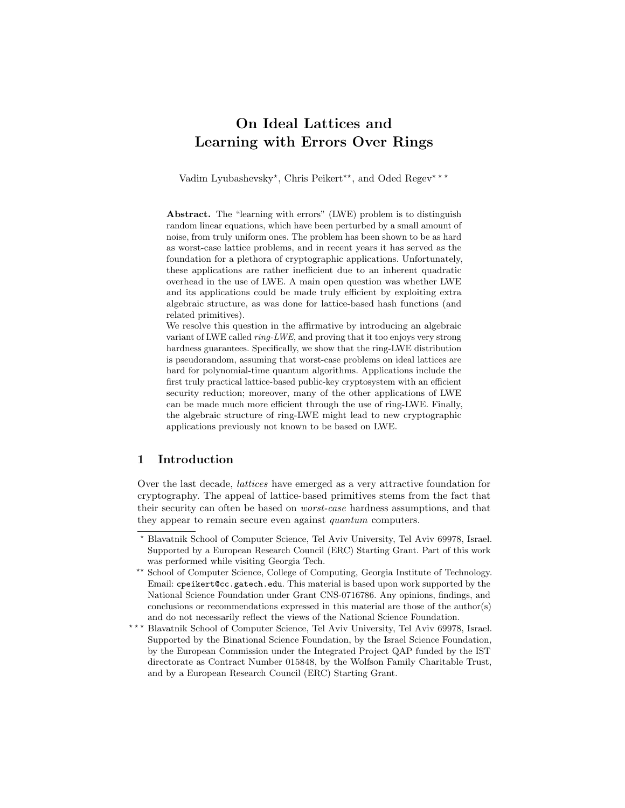# On Ideal Lattices and Learning with Errors Over Rings

Vadim Lyubashevsky<sup>\*</sup>, Chris Peikert<sup>\*\*</sup>, and Oded Regev<sup>\*\*\*</sup>

Abstract. The "learning with errors" (LWE) problem is to distinguish random linear equations, which have been perturbed by a small amount of noise, from truly uniform ones. The problem has been shown to be as hard as worst-case lattice problems, and in recent years it has served as the foundation for a plethora of cryptographic applications. Unfortunately, these applications are rather inefficient due to an inherent quadratic overhead in the use of LWE. A main open question was whether LWE and its applications could be made truly efficient by exploiting extra algebraic structure, as was done for lattice-based hash functions (and related primitives).

We resolve this question in the affirmative by introducing an algebraic variant of LWE called ring-LWE, and proving that it too enjoys very strong hardness guarantees. Specifically, we show that the ring-LWE distribution is pseudorandom, assuming that worst-case problems on ideal lattices are hard for polynomial-time quantum algorithms. Applications include the first truly practical lattice-based public-key cryptosystem with an efficient security reduction; moreover, many of the other applications of LWE can be made much more efficient through the use of ring-LWE. Finally, the algebraic structure of ring-LWE might lead to new cryptographic applications previously not known to be based on LWE.

# 1 Introduction

Over the last decade, lattices have emerged as a very attractive foundation for cryptography. The appeal of lattice-based primitives stems from the fact that their security can often be based on worst-case hardness assumptions, and that they appear to remain secure even against quantum computers.

<sup>?</sup> Blavatnik School of Computer Science, Tel Aviv University, Tel Aviv 69978, Israel. Supported by a European Research Council (ERC) Starting Grant. Part of this work was performed while visiting Georgia Tech.

<sup>\*\*</sup> School of Computer Science, College of Computing, Georgia Institute of Technology. Email: cpeikert@cc.gatech.edu. This material is based upon work supported by the National Science Foundation under Grant CNS-0716786. Any opinions, findings, and conclusions or recommendations expressed in this material are those of the author(s) and do not necessarily reflect the views of the National Science Foundation.

<sup>\*\*\*</sup> Blavatnik School of Computer Science, Tel Aviv University, Tel Aviv 69978, Israel. Supported by the Binational Science Foundation, by the Israel Science Foundation, by the European Commission under the Integrated Project QAP funded by the IST directorate as Contract Number 015848, by the Wolfson Family Charitable Trust, and by a European Research Council (ERC) Starting Grant.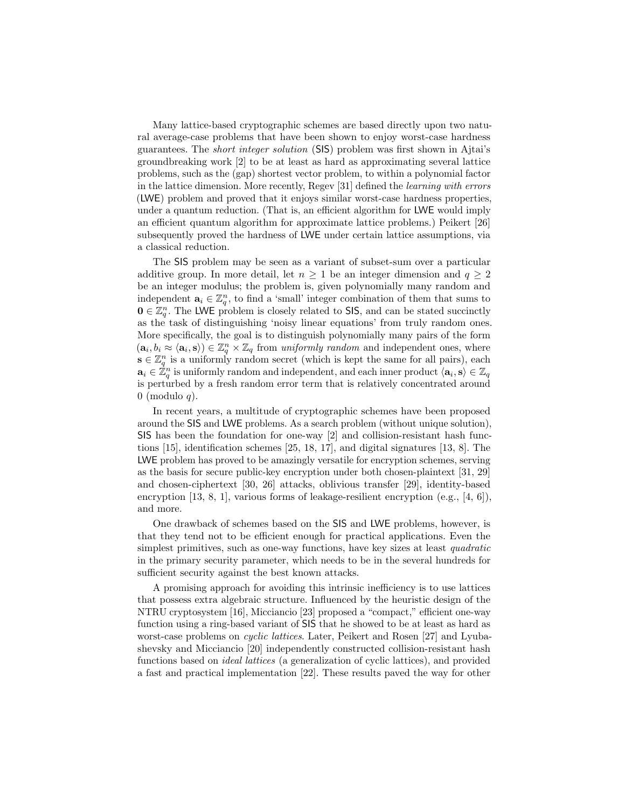Many lattice-based cryptographic schemes are based directly upon two natural average-case problems that have been shown to enjoy worst-case hardness guarantees. The short integer solution (SIS) problem was first shown in Ajtai's groundbreaking work [2] to be at least as hard as approximating several lattice problems, such as the (gap) shortest vector problem, to within a polynomial factor in the lattice dimension. More recently, Regev [31] defined the learning with errors (LWE) problem and proved that it enjoys similar worst-case hardness properties, under a quantum reduction. (That is, an efficient algorithm for LWE would imply an efficient quantum algorithm for approximate lattice problems.) Peikert [26] subsequently proved the hardness of LWE under certain lattice assumptions, via a classical reduction.

The SIS problem may be seen as a variant of subset-sum over a particular additive group. In more detail, let  $n \geq 1$  be an integer dimension and  $q \geq 2$ be an integer modulus; the problem is, given polynomially many random and independent  $\mathbf{a}_i \in \mathbb{Z}_q^n$ , to find a 'small' integer combination of them that sums to  $0 \in \mathbb{Z}_q^n$ . The LWE problem is closely related to SIS, and can be stated succinctly as the task of distinguishing 'noisy linear equations' from truly random ones. More specifically, the goal is to distinguish polynomially many pairs of the form  $(\mathbf{a}_i, b_i \approx \langle \mathbf{a}_i, \mathbf{s} \rangle) \in \mathbb{Z}_q^n \times \mathbb{Z}_q$  from uniformly random and independent ones, where  $\mathbf{s} \in \mathbb{Z}_q^n$  is a uniformly random secret (which is kept the same for all pairs), each  $\mathbf{a}_i \in \mathbb{Z}_q^n$  is uniformly random and independent, and each inner product  $\langle \mathbf{a}_i, \mathbf{s} \rangle \in \mathbb{Z}_q$ is perturbed by a fresh random error term that is relatively concentrated around 0 (modulo  $q$ ).

In recent years, a multitude of cryptographic schemes have been proposed around the SIS and LWE problems. As a search problem (without unique solution), SIS has been the foundation for one-way [2] and collision-resistant hash functions [15], identification schemes [25, 18, 17], and digital signatures [13, 8]. The LWE problem has proved to be amazingly versatile for encryption schemes, serving as the basis for secure public-key encryption under both chosen-plaintext [31, 29] and chosen-ciphertext [30, 26] attacks, oblivious transfer [29], identity-based encryption [13, 8, 1], various forms of leakage-resilient encryption (e.g., [4, 6]), and more.

One drawback of schemes based on the SIS and LWE problems, however, is that they tend not to be efficient enough for practical applications. Even the simplest primitives, such as one-way functions, have key sizes at least *quadratic* in the primary security parameter, which needs to be in the several hundreds for sufficient security against the best known attacks.

A promising approach for avoiding this intrinsic inefficiency is to use lattices that possess extra algebraic structure. Influenced by the heuristic design of the NTRU cryptosystem [16], Micciancio [23] proposed a "compact," efficient one-way function using a ring-based variant of SIS that he showed to be at least as hard as worst-case problems on *cyclic lattices*. Later, Peikert and Rosen [27] and Lyubashevsky and Micciancio [20] independently constructed collision-resistant hash functions based on ideal lattices (a generalization of cyclic lattices), and provided a fast and practical implementation [22]. These results paved the way for other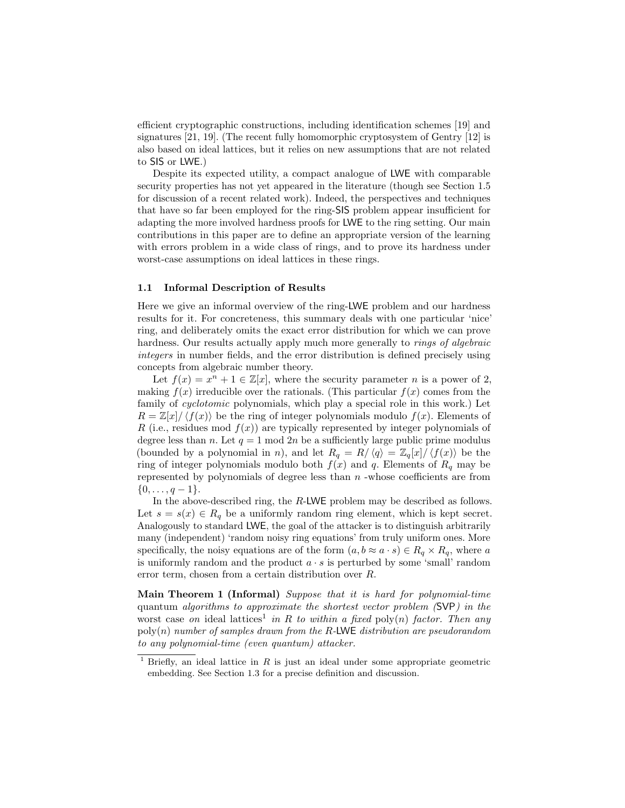efficient cryptographic constructions, including identification schemes [19] and signatures [21, 19]. (The recent fully homomorphic cryptosystem of Gentry [12] is also based on ideal lattices, but it relies on new assumptions that are not related to SIS or LWE.)

Despite its expected utility, a compact analogue of LWE with comparable security properties has not yet appeared in the literature (though see Section 1.5 for discussion of a recent related work). Indeed, the perspectives and techniques that have so far been employed for the ring-SIS problem appear insufficient for adapting the more involved hardness proofs for LWE to the ring setting. Our main contributions in this paper are to define an appropriate version of the learning with errors problem in a wide class of rings, and to prove its hardness under worst-case assumptions on ideal lattices in these rings.

#### 1.1 Informal Description of Results

Here we give an informal overview of the ring-LWE problem and our hardness results for it. For concreteness, this summary deals with one particular 'nice' ring, and deliberately omits the exact error distribution for which we can prove hardness. Our results actually apply much more generally to *rings of algebraic* integers in number fields, and the error distribution is defined precisely using concepts from algebraic number theory.

Let  $f(x) = x^n + 1 \in \mathbb{Z}[x]$ , where the security parameter *n* is a power of 2, making  $f(x)$  irreducible over the rationals. (This particular  $f(x)$  comes from the family of *cyclotomic* polynomials, which play a special role in this work.) Let  $R = \mathbb{Z}[x]/\langle f(x) \rangle$  be the ring of integer polynomials modulo  $f(x)$ . Elements of R (i.e., residues mod  $f(x)$ ) are typically represented by integer polynomials of degree less than n. Let  $q = 1 \mod 2n$  be a sufficiently large public prime modulus (bounded by a polynomial in n), and let  $R_q = R/\langle q \rangle = \mathbb{Z}_q[x]/\langle f(x) \rangle$  be the ring of integer polynomials modulo both  $f(x)$  and q. Elements of  $R_q$  may be represented by polynomials of degree less than  $n$  -whose coefficients are from  $\{0, \ldots, q-1\}.$ 

In the above-described ring, the R-LWE problem may be described as follows. Let  $s = s(x) \in R_q$  be a uniformly random ring element, which is kept secret. Analogously to standard LWE, the goal of the attacker is to distinguish arbitrarily many (independent) 'random noisy ring equations' from truly uniform ones. More specifically, the noisy equations are of the form  $(a, b \approx a \cdot s) \in R_q \times R_q$ , where a is uniformly random and the product  $a \cdot s$  is perturbed by some 'small' random error term, chosen from a certain distribution over R.

Main Theorem 1 (Informal) Suppose that it is hard for polynomial-time quantum algorithms to approximate the shortest vector problem (SVP) in the worst case on ideal lattices<sup>1</sup> in R to within a fixed poly(n) factor. Then any  $poly(n)$  number of samples drawn from the R-LWE distribution are pseudorandom to any polynomial-time (even quantum) attacker.

<sup>&</sup>lt;sup>1</sup> Briefly, an ideal lattice in  $R$  is just an ideal under some appropriate geometric embedding. See Section 1.3 for a precise definition and discussion.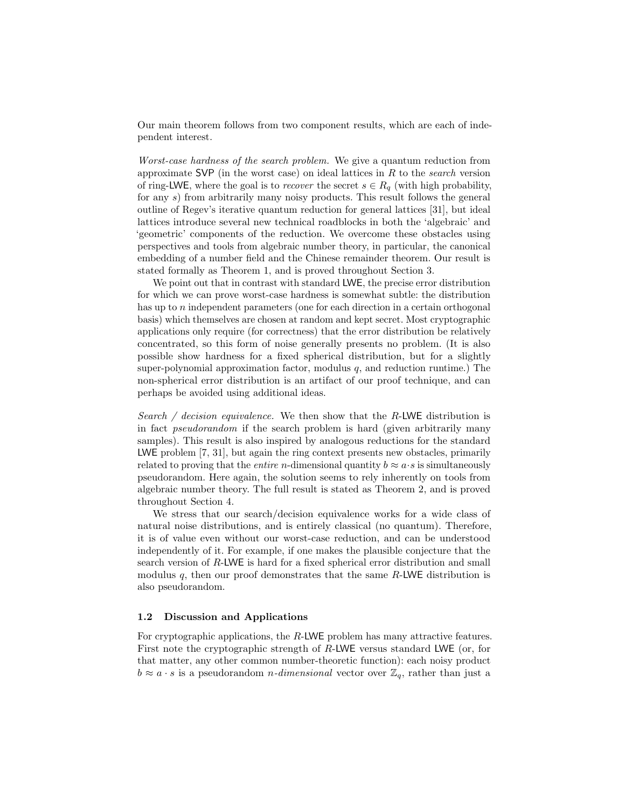Our main theorem follows from two component results, which are each of independent interest.

Worst-case hardness of the search problem. We give a quantum reduction from approximate SVP (in the worst case) on ideal lattices in  $R$  to the search version of ring-LWE, where the goal is to *recover* the secret  $s \in R_q$  (with high probability, for any s) from arbitrarily many noisy products. This result follows the general outline of Regev's iterative quantum reduction for general lattices [31], but ideal lattices introduce several new technical roadblocks in both the 'algebraic' and 'geometric' components of the reduction. We overcome these obstacles using perspectives and tools from algebraic number theory, in particular, the canonical embedding of a number field and the Chinese remainder theorem. Our result is stated formally as Theorem 1, and is proved throughout Section 3.

We point out that in contrast with standard LWE, the precise error distribution for which we can prove worst-case hardness is somewhat subtle: the distribution has up to n independent parameters (one for each direction in a certain orthogonal basis) which themselves are chosen at random and kept secret. Most cryptographic applications only require (for correctness) that the error distribution be relatively concentrated, so this form of noise generally presents no problem. (It is also possible show hardness for a fixed spherical distribution, but for a slightly super-polynomial approximation factor, modulus  $q$ , and reduction runtime.) The non-spherical error distribution is an artifact of our proof technique, and can perhaps be avoided using additional ideas.

Search / decision equivalence. We then show that the R-LWE distribution is in fact pseudorandom if the search problem is hard (given arbitrarily many samples). This result is also inspired by analogous reductions for the standard LWE problem [7, 31], but again the ring context presents new obstacles, primarily related to proving that the *entire n*-dimensional quantity  $b \approx a \cdot s$  is simultaneously pseudorandom. Here again, the solution seems to rely inherently on tools from algebraic number theory. The full result is stated as Theorem 2, and is proved throughout Section 4.

We stress that our search/decision equivalence works for a wide class of natural noise distributions, and is entirely classical (no quantum). Therefore, it is of value even without our worst-case reduction, and can be understood independently of it. For example, if one makes the plausible conjecture that the search version of R-LWE is hard for a fixed spherical error distribution and small modulus  $q$ , then our proof demonstrates that the same R-LWE distribution is also pseudorandom.

## 1.2 Discussion and Applications

For cryptographic applications, the R-LWE problem has many attractive features. First note the cryptographic strength of R-LWE versus standard LWE (or, for that matter, any other common number-theoretic function): each noisy product  $b \approx a \cdot s$  is a pseudorandom *n*-dimensional vector over  $\mathbb{Z}_q$ , rather than just a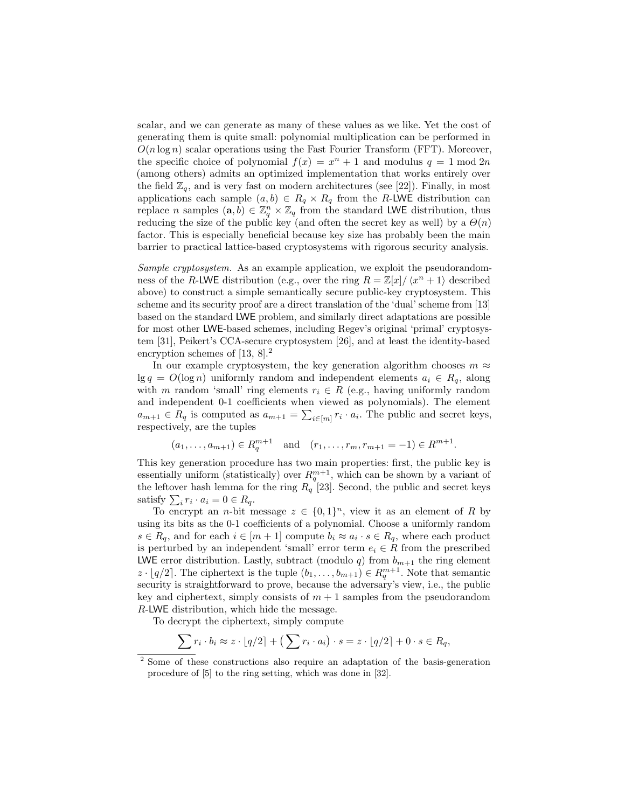scalar, and we can generate as many of these values as we like. Yet the cost of generating them is quite small: polynomial multiplication can be performed in  $O(n \log n)$  scalar operations using the Fast Fourier Transform (FFT). Moreover, the specific choice of polynomial  $f(x) = x^n + 1$  and modulus  $q = 1$  mod  $2n$ (among others) admits an optimized implementation that works entirely over the field  $\mathbb{Z}_q$ , and is very fast on modern architectures (see [22]). Finally, in most applications each sample  $(a, b) \in R_q \times R_q$  from the R-LWE distribution can replace n samples  $(a, b) \in \mathbb{Z}_q^n \times \mathbb{Z}_q$  from the standard LWE distribution, thus reducing the size of the public key (and often the secret key as well) by a  $\Theta(n)$ factor. This is especially beneficial because key size has probably been the main barrier to practical lattice-based cryptosystems with rigorous security analysis.

Sample cryptosystem. As an example application, we exploit the pseudorandomness of the R-LWE distribution (e.g., over the ring  $R = \mathbb{Z}[x]/\langle x^n + 1 \rangle$  described above) to construct a simple semantically secure public-key cryptosystem. This scheme and its security proof are a direct translation of the 'dual' scheme from [13] based on the standard LWE problem, and similarly direct adaptations are possible for most other LWE-based schemes, including Regev's original 'primal' cryptosystem [31], Peikert's CCA-secure cryptosystem [26], and at least the identity-based encryption schemes of [13, 8].<sup>2</sup>

In our example cryptosystem, the key generation algorithm chooses  $m \approx$  $\lg q = O(\log n)$  uniformly random and independent elements  $a_i \in R_q$ , along with m random 'small' ring elements  $r_i \in R$  (e.g., having uniformly random and independent 0-1 coefficients when viewed as polynomials). The element  $a_{m+1} \in R_q$  is computed as  $a_{m+1} = \sum_{i \in [m]} r_i \cdot a_i$ . The public and secret keys, respectively, are the tuples

$$
(a_1, \ldots, a_{m+1}) \in R_q^{m+1}
$$
 and  $(r_1, \ldots, r_m, r_{m+1} = -1) \in R^{m+1}$ .

This key generation procedure has two main properties: first, the public key is essentially uniform (statistically) over  $R_q^{m+1}$ , which can be shown by a variant of the leftover hash lemma for the ring  $R_q$  [23]. Second, the public and secret keys satisfy  $\sum_i r_i \cdot a_i = 0 \in R_q$ .

To encrypt an *n*-bit message  $z \in \{0,1\}^n$ , view it as an element of R by using its bits as the 0-1 coefficients of a polynomial. Choose a uniformly random  $s \in R_q$ , and for each  $i \in [m+1]$  compute  $b_i \approx a_i \cdot s \in R_q$ , where each product is perturbed by an independent 'small' error term  $e_i \in R$  from the prescribed LWE error distribution. Lastly, subtract (modulo  $q$ ) from  $b_{m+1}$  the ring element  $z \cdot \lfloor q/2 \rfloor$ . The ciphertext is the tuple  $(b_1, \ldots, b_{m+1}) \in R_q^{m+1}$ . Note that semantic security is straightforward to prove, because the adversary's view, i.e., the public key and ciphertext, simply consists of  $m + 1$  samples from the pseudorandom R-LWE distribution, which hide the message.

To decrypt the ciphertext, simply compute

$$
\sum r_i \cdot b_i \approx z \cdot \lfloor q/2 \rceil + \left( \sum r_i \cdot a_i \right) \cdot s = z \cdot \lfloor q/2 \rceil + 0 \cdot s \in R_q,
$$

<sup>2</sup> Some of these constructions also require an adaptation of the basis-generation procedure of [5] to the ring setting, which was done in [32].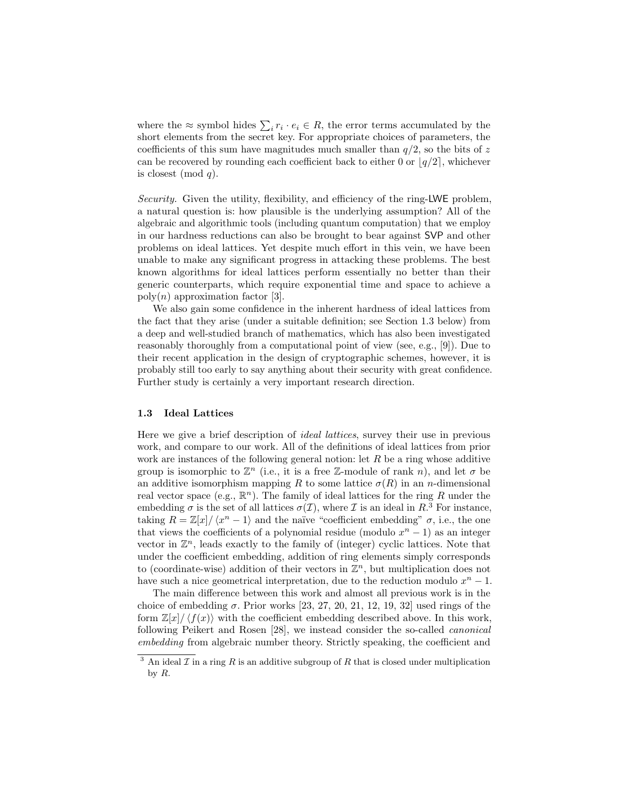where the  $\approx$  symbol hides  $\sum_i r_i \cdot e_i \in R$ , the error terms accumulated by the short elements from the secret key. For appropriate choices of parameters, the coefficients of this sum have magnitudes much smaller than  $q/2$ , so the bits of z can be recovered by rounding each coefficient back to either 0 or  $|q/2|$ , whichever is closest (mod  $q$ ).

Security. Given the utility, flexibility, and efficiency of the ring-LWE problem, a natural question is: how plausible is the underlying assumption? All of the algebraic and algorithmic tools (including quantum computation) that we employ in our hardness reductions can also be brought to bear against SVP and other problems on ideal lattices. Yet despite much effort in this vein, we have been unable to make any significant progress in attacking these problems. The best known algorithms for ideal lattices perform essentially no better than their generic counterparts, which require exponential time and space to achieve a  $poly(n)$  approximation factor [3].

We also gain some confidence in the inherent hardness of ideal lattices from the fact that they arise (under a suitable definition; see Section 1.3 below) from a deep and well-studied branch of mathematics, which has also been investigated reasonably thoroughly from a computational point of view (see, e.g., [9]). Due to their recent application in the design of cryptographic schemes, however, it is probably still too early to say anything about their security with great confidence. Further study is certainly a very important research direction.

## 1.3 Ideal Lattices

Here we give a brief description of ideal lattices, survey their use in previous work, and compare to our work. All of the definitions of ideal lattices from prior work are instances of the following general notion: let  $R$  be a ring whose additive group is isomorphic to  $\mathbb{Z}^n$  (i.e., it is a free Z-module of rank n), and let  $\sigma$  be an additive isomorphism mapping R to some lattice  $\sigma(R)$  in an n-dimensional real vector space (e.g.,  $\mathbb{R}^n$ ). The family of ideal lattices for the ring R under the embedding  $\sigma$  is the set of all lattices  $\sigma(\mathcal{I})$ , where  $\mathcal I$  is an ideal in  $R$ <sup>3</sup>. For instance, taking  $R = \mathbb{Z}[x]/\langle x^n - 1 \rangle$  and the naïve "coefficient embedding"  $\sigma$ , i.e., the one that views the coefficients of a polynomial residue (modulo  $x<sup>n</sup> - 1$ ) as an integer vector in  $\mathbb{Z}^n$ , leads exactly to the family of (integer) cyclic lattices. Note that under the coefficient embedding, addition of ring elements simply corresponds to (coordinate-wise) addition of their vectors in  $\mathbb{Z}^n$ , but multiplication does not have such a nice geometrical interpretation, due to the reduction modulo  $x<sup>n</sup> - 1$ .

The main difference between this work and almost all previous work is in the choice of embedding  $\sigma$ . Prior works [23, 27, 20, 21, 12, 19, 32] used rings of the form  $\mathbb{Z}[x]/\langle f(x)\rangle$  with the coefficient embedding described above. In this work, following Peikert and Rosen [28], we instead consider the so-called canonical embedding from algebraic number theory. Strictly speaking, the coefficient and

<sup>&</sup>lt;sup>3</sup> An ideal  $\mathcal I$  in a ring R is an additive subgroup of R that is closed under multiplication by R.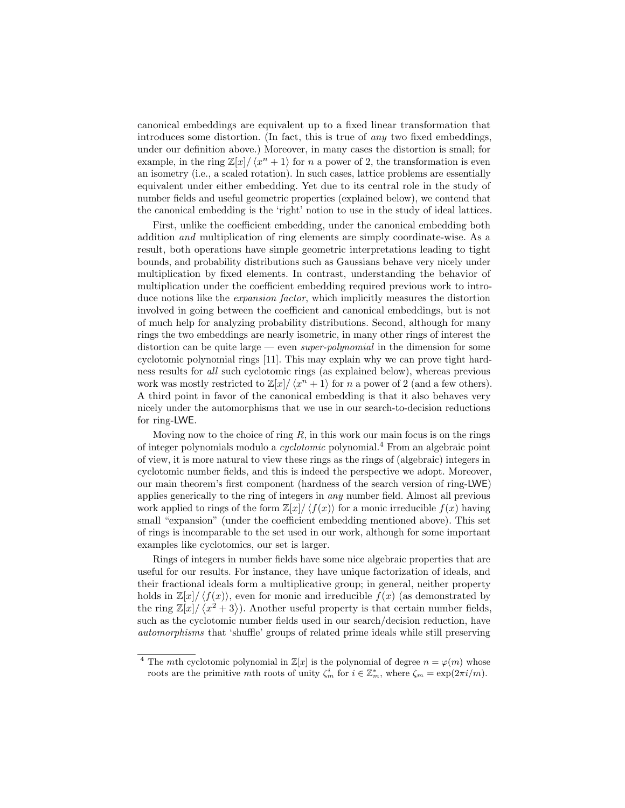canonical embeddings are equivalent up to a fixed linear transformation that introduces some distortion. (In fact, this is true of any two fixed embeddings, under our definition above.) Moreover, in many cases the distortion is small; for example, in the ring  $\mathbb{Z}[x]/\langle x^n + 1 \rangle$  for n a power of 2, the transformation is even an isometry (i.e., a scaled rotation). In such cases, lattice problems are essentially equivalent under either embedding. Yet due to its central role in the study of number fields and useful geometric properties (explained below), we contend that the canonical embedding is the 'right' notion to use in the study of ideal lattices.

First, unlike the coefficient embedding, under the canonical embedding both addition and multiplication of ring elements are simply coordinate-wise. As a result, both operations have simple geometric interpretations leading to tight bounds, and probability distributions such as Gaussians behave very nicely under multiplication by fixed elements. In contrast, understanding the behavior of multiplication under the coefficient embedding required previous work to introduce notions like the expansion factor, which implicitly measures the distortion involved in going between the coefficient and canonical embeddings, but is not of much help for analyzing probability distributions. Second, although for many rings the two embeddings are nearly isometric, in many other rings of interest the distortion can be quite large — even super-polynomial in the dimension for some cyclotomic polynomial rings [11]. This may explain why we can prove tight hardness results for all such cyclotomic rings (as explained below), whereas previous work was mostly restricted to  $\mathbb{Z}[x]/\langle x^n + 1 \rangle$  for n a power of 2 (and a few others). A third point in favor of the canonical embedding is that it also behaves very nicely under the automorphisms that we use in our search-to-decision reductions for ring-LWE.

Moving now to the choice of ring  $R$ , in this work our main focus is on the rings of integer polynomials modulo a cyclotomic polynomial.<sup>4</sup> From an algebraic point of view, it is more natural to view these rings as the rings of (algebraic) integers in cyclotomic number fields, and this is indeed the perspective we adopt. Moreover, our main theorem's first component (hardness of the search version of ring-LWE) applies generically to the ring of integers in any number field. Almost all previous work applied to rings of the form  $\mathbb{Z}[x]/\langle f(x)\rangle$  for a monic irreducible  $f(x)$  having small "expansion" (under the coefficient embedding mentioned above). This set of rings is incomparable to the set used in our work, although for some important examples like cyclotomics, our set is larger.

Rings of integers in number fields have some nice algebraic properties that are useful for our results. For instance, they have unique factorization of ideals, and their fractional ideals form a multiplicative group; in general, neither property holds in  $\mathbb{Z}[x]/\langle f(x)\rangle$ , even for monic and irreducible  $f(x)$  (as demonstrated by the ring  $\mathbb{Z}[x]/\langle x^2+3\rangle$ ). Another useful property is that certain number fields, such as the cyclotomic number fields used in our search/decision reduction, have automorphisms that 'shuffle' groups of related prime ideals while still preserving

<sup>&</sup>lt;sup>4</sup> The *mth* cyclotomic polynomial in  $\mathbb{Z}[x]$  is the polynomial of degree  $n = \varphi(m)$  whose roots are the primitive mth roots of unity  $\zeta_m^i$  for  $i \in \mathbb{Z}_m^*$ , where  $\zeta_m = \exp(2\pi i/m)$ .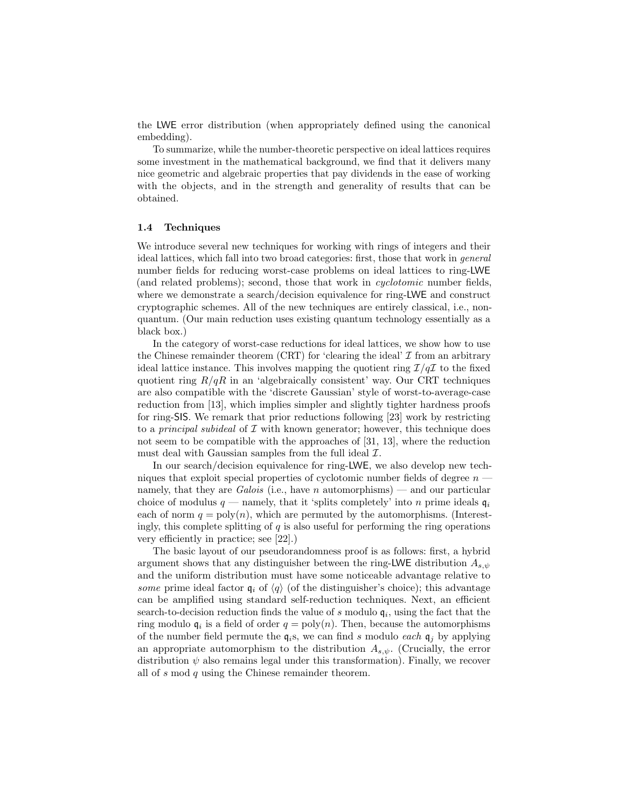the LWE error distribution (when appropriately defined using the canonical embedding).

To summarize, while the number-theoretic perspective on ideal lattices requires some investment in the mathematical background, we find that it delivers many nice geometric and algebraic properties that pay dividends in the ease of working with the objects, and in the strength and generality of results that can be obtained.

## 1.4 Techniques

We introduce several new techniques for working with rings of integers and their ideal lattices, which fall into two broad categories: first, those that work in general number fields for reducing worst-case problems on ideal lattices to ring-LWE (and related problems); second, those that work in *cyclotomic* number fields, where we demonstrate a search/decision equivalence for ring-LWE and construct cryptographic schemes. All of the new techniques are entirely classical, i.e., nonquantum. (Our main reduction uses existing quantum technology essentially as a black box.)

In the category of worst-case reductions for ideal lattices, we show how to use the Chinese remainder theorem (CRT) for 'clearing the ideal'  $\mathcal I$  from an arbitrary ideal lattice instance. This involves mapping the quotient ring  $\mathcal{I}/q\mathcal{I}$  to the fixed quotient ring  $R/qR$  in an 'algebraically consistent' way. Our CRT techniques are also compatible with the 'discrete Gaussian' style of worst-to-average-case reduction from [13], which implies simpler and slightly tighter hardness proofs for ring-SIS. We remark that prior reductions following [23] work by restricting to a *principal subideal* of  $\mathcal I$  with known generator; however, this technique does not seem to be compatible with the approaches of [31, 13], where the reduction must deal with Gaussian samples from the full ideal  $\mathcal{I}$ .

In our search/decision equivalence for ring-LWE, we also develop new techniques that exploit special properties of cyclotomic number fields of degree  $n$ namely, that they are Galois (i.e., have n automorphisms) — and our particular choice of modulus  $q$  — namely, that it 'splits completely' into n prime ideals  $q_i$ each of norm  $q = poly(n)$ , which are permuted by the automorphisms. (Interestingly, this complete splitting of  $q$  is also useful for performing the ring operations very efficiently in practice; see [22].)

The basic layout of our pseudorandomness proof is as follows: first, a hybrid argument shows that any distinguisher between the ring-LWE distribution  $A_{s,y}$ and the uniform distribution must have some noticeable advantage relative to some prime ideal factor  $q_i$  of  $\langle q \rangle$  (of the distinguisher's choice); this advantage can be amplified using standard self-reduction techniques. Next, an efficient search-to-decision reduction finds the value of s modulo  $q_i$ , using the fact that the ring modulo  $\mathfrak{q}_i$  is a field of order  $q = \text{poly}(n)$ . Then, because the automorphisms of the number field permute the  $q_i$ s, we can find s modulo each  $q_j$  by applying an appropriate automorphism to the distribution  $A_{s,\psi}$ . (Crucially, the error distribution  $\psi$  also remains legal under this transformation). Finally, we recover all of s mod q using the Chinese remainder theorem.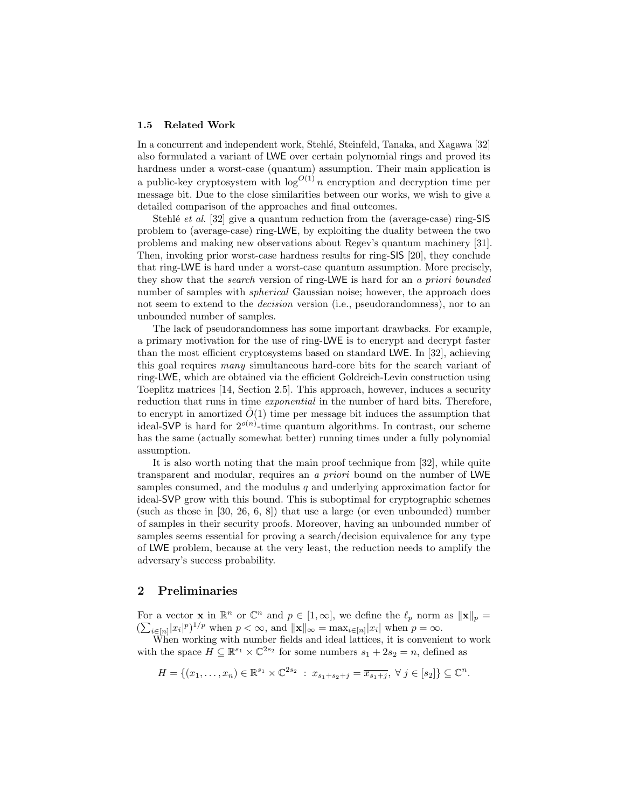#### 1.5 Related Work

In a concurrent and independent work, Stehlé, Steinfeld, Tanaka, and Xagawa [32] also formulated a variant of LWE over certain polynomial rings and proved its hardness under a worst-case (quantum) assumption. Their main application is a public-key cryptosystem with  $\log^{O(1)} n$  encryption and decryption time per message bit. Due to the close similarities between our works, we wish to give a detailed comparison of the approaches and final outcomes.

Stehlé et al. [32] give a quantum reduction from the (average-case) ring- $\mathsf{SIS}$ problem to (average-case) ring-LWE, by exploiting the duality between the two problems and making new observations about Regev's quantum machinery [31]. Then, invoking prior worst-case hardness results for ring-SIS [20], they conclude that ring-LWE is hard under a worst-case quantum assumption. More precisely, they show that the search version of ring-LWE is hard for an a priori bounded number of samples with *spherical* Gaussian noise; however, the approach does not seem to extend to the *decision* version (i.e., pseudorandomness), nor to an unbounded number of samples.

The lack of pseudorandomness has some important drawbacks. For example, a primary motivation for the use of ring-LWE is to encrypt and decrypt faster than the most efficient cryptosystems based on standard LWE. In [32], achieving this goal requires many simultaneous hard-core bits for the search variant of ring-LWE, which are obtained via the efficient Goldreich-Levin construction using Toeplitz matrices [14, Section 2.5]. This approach, however, induces a security reduction that runs in time *exponential* in the number of hard bits. Therefore, to encrypt in amortized  $\tilde{O}(1)$  time per message bit induces the assumption that ideal-SVP is hard for  $2^{o(n)}$ -time quantum algorithms. In contrast, our scheme has the same (actually somewhat better) running times under a fully polynomial assumption.

It is also worth noting that the main proof technique from [32], while quite transparent and modular, requires an a priori bound on the number of LWE samples consumed, and the modulus q and underlying approximation factor for ideal-SVP grow with this bound. This is suboptimal for cryptographic schemes (such as those in [30, 26, 6, 8]) that use a large (or even unbounded) number of samples in their security proofs. Moreover, having an unbounded number of samples seems essential for proving a search/decision equivalence for any type of LWE problem, because at the very least, the reduction needs to amplify the adversary's success probability.

# 2 Preliminaries

For a vector **x** in  $\mathbb{R}^n$  or  $\mathbb{C}^n$  and  $p \in [1,\infty]$ , we define the  $\ell_p$  norm as  $\|\mathbf{x}\|_p =$  $\left(\sum_{i\in[n]} |x_i|^p\right)^{1/p}$  when  $p < \infty$ , and  $\|\mathbf{x}\|_{\infty} = \max_{i\in[n]} |x_i|$  when  $p = \infty$ .

When working with number fields and ideal lattices, it is convenient to work with the space  $H \subseteq \mathbb{R}^{s_1} \times \mathbb{C}^{2s_2}$  for some numbers  $s_1 + 2s_2 = n$ , defined as

$$
H = \{(x_1, \ldots, x_n) \in \mathbb{R}^{s_1} \times \mathbb{C}^{2s_2} : x_{s_1+s_2+j} = \overline{x_{s_1+j}}, \ \forall \ j \in [s_2] \} \subseteq \mathbb{C}^n.
$$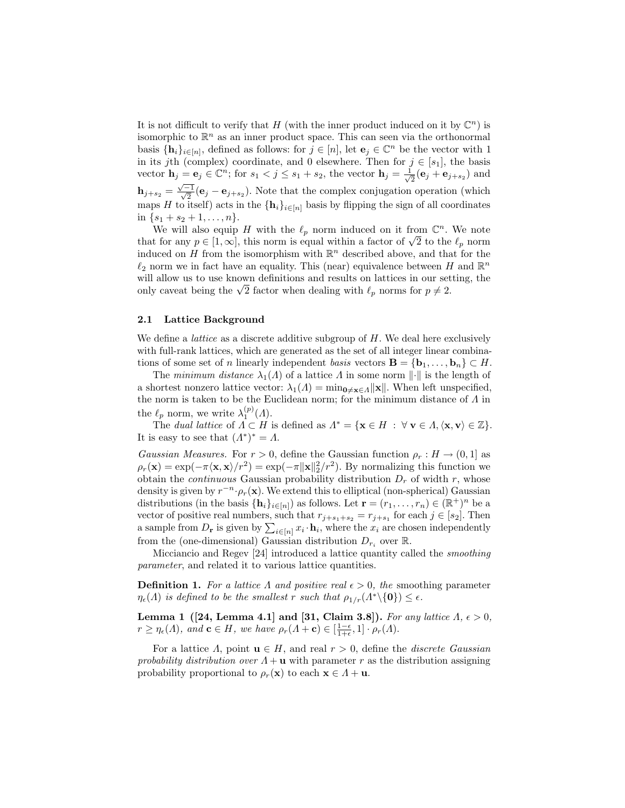It is not difficult to verify that H (with the inner product induced on it by  $\mathbb{C}^n$ ) is isomorphic to  $\mathbb{R}^n$  as an inner product space. This can seen via the orthonormal basis  $\{\mathbf{h}_i\}_{i\in[n]}$ , defined as follows: for  $j \in [n]$ , let  $\mathbf{e}_j \in \mathbb{C}^n$  be the vector with 1 in its jth (complex) coordinate, and 0 elsewhere. Then for  $j \in [s_1]$ , the basis vector  $\mathbf{h}_j = \mathbf{e}_j \in \mathbb{C}^n$ ; for  $s_1 < j \leq s_1 + s_2$ , the vector  $\mathbf{h}_j = \frac{1}{\sqrt{n}}$  $\frac{1}{2}(\mathbf{e}_j + \mathbf{e}_{j+s_2})$  and  $\mathbf{h}_{j+s_2} = \frac{\sqrt{-1}}{\sqrt{2}} (\mathbf{e}_j - \mathbf{e}_{j+s_2})$ . Note that the complex conjugation operation (which maps H to itself) acts in the  $\{\mathbf{h}_i\}_{i\in[n]}$  basis by flipping the sign of all coordinates in  $\{s_1 + s_2 + 1, \ldots, n\}.$ 

We will also equip H with the  $\ell_p$  norm induced on it from  $\mathbb{C}^n$ . We note We will also equip *H* with the  $\ell_p$  norm induced on it from  $\mathbb{C}^n$ . We note<br>that for any  $p \in [1, \infty]$ , this norm is equal within a factor of  $\sqrt{2}$  to the  $\ell_p$  norm induced on  $H$  from the isomorphism with  $\mathbb{R}^n$  described above, and that for the  $\ell_2$  norm we in fact have an equality. This (near) equivalence between H and  $\mathbb{R}^n$ will allow us to use known definitions and results on lattices in our setting, the will allow us to use known definitions and results on lattices in our set<br>only caveat being the  $\sqrt{2}$  factor when dealing with  $\ell_p$  norms for  $p \neq 2$ .

## 2.1 Lattice Background

We define a *lattice* as a discrete additive subgroup of  $H$ . We deal here exclusively with full-rank lattices, which are generated as the set of all integer linear combinations of some set of n linearly independent basis vectors  $\mathbf{B} = {\mathbf{b}_1, \ldots, \mathbf{b}_n} \subset H$ .

The minimum distance  $\lambda_1(\Lambda)$  of a lattice  $\Lambda$  in some norm  $\|\cdot\|$  is the length of a shortest nonzero lattice vector:  $\lambda_1(\Lambda) = \min_{0 \neq x \in \Lambda} ||x||$ . When left unspecified, the norm is taken to be the Euclidean norm; for the minimum distance of  $\Lambda$  in the  $\ell_p$  norm, we write  $\lambda_1^{(p)}(\Lambda)$ .

The dual lattice of  $\Lambda \subset H$  is defined as  $\Lambda^* = {\mathbf{x} \in H : \forall \mathbf{v} \in \Lambda, \langle \mathbf{x}, \mathbf{v} \rangle \in \mathbb{Z}}.$ It is easy to see that  $(A^*)^* = A$ .

Gaussian Measures. For  $r > 0$ , define the Gaussian function  $\rho_r : H \to (0, 1]$  as  $\rho_r(\mathbf{x}) = \exp(-\pi \langle \mathbf{x}, \mathbf{x} \rangle / r^2) = \exp(-\pi \|\mathbf{x}\|_2^2 / r^2)$ . By normalizing this function we obtain the *continuous* Gaussian probability distribution  $D_r$  of width r, whose density is given by  $r^{-n} \cdot \rho_r(\mathbf{x})$ . We extend this to elliptical (non-spherical) Gaussian distributions (in the basis  $\{\mathbf{h}_i\}_{i\in[n]}$ ) as follows. Let  $\mathbf{r}=(r_1,\ldots,r_n)\in(\mathbb{R}^+)^n$  be a vector of positive real numbers, such that  $r_{j+s_1+s_2} = r_{j+s_1}$  for each  $j \in [s_2]$ . Then a sample from  $D_r$  is given by  $\sum_{i \in [n]} x_i \cdot \mathbf{h}_i$ , where the  $x_i$  are chosen independently from the (one-dimensional) Gaussian distribution  $D_{r_i}$  over  $\mathbb{R}$ .

Micciancio and Regev [24] introduced a lattice quantity called the smoothing parameter, and related it to various lattice quantities.

**Definition 1.** For a lattice A and positive real  $\epsilon > 0$ , the smoothing parameter  $\eta_{\epsilon}(\Lambda)$  is defined to be the smallest r such that  $\rho_{1/r}(\Lambda^*\setminus{\{0\}}) \leq \epsilon$ .

Lemma 1 ([24, Lemma 4.1] and [31, Claim 3.8]). For any lattice  $\Lambda$ ,  $\epsilon > 0$ ,  $r \geq \eta_{\epsilon}(A)$ , and  $\mathbf{c} \in H$ , we have  $\rho_r(A + \mathbf{c}) \in [\frac{1-\epsilon}{1+\epsilon}, 1] \cdot \rho_r(A)$ .

For a lattice  $\Lambda$ , point  $\mathbf{u} \in H$ , and real  $r > 0$ , define the *discrete Gaussian* probability distribution over  $\Lambda + \mathbf{u}$  with parameter r as the distribution assigning probability proportional to  $\rho_r(\mathbf{x})$  to each  $\mathbf{x} \in \Lambda + \mathbf{u}$ .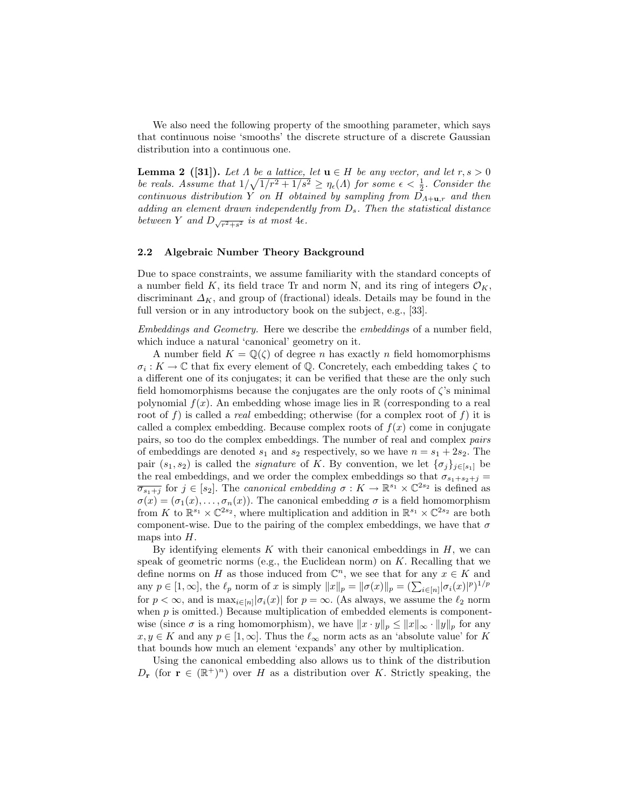We also need the following property of the smoothing parameter, which says that continuous noise 'smooths' the discrete structure of a discrete Gaussian distribution into a continuous one.

**Lemma 2** ([31]). Let  $\Lambda$  be a lattice, let  $\mathbf{u} \in H$  be any vector, and let  $r, s > 0$ be reals. Assume that  $1/\sqrt{1/r^2 + 1/s^2} \geq \eta_{\epsilon}(A)$  for some  $\epsilon < \frac{1}{2}$ . Consider the continuous distribution Y on H obtained by sampling from  $\overline{D}_{A+\mathbf{u},r}$  and then adding an element drawn independently from  $D_s$ . Then the statistical distance between Y and  $D_{\sqrt{r^2+s^2}}$  is at most 4 $\epsilon$ .

## 2.2 Algebraic Number Theory Background

Due to space constraints, we assume familiarity with the standard concepts of a number field K, its field trace Tr and norm N, and its ring of integers  $\mathcal{O}_K$ , discriminant  $\Delta_K$ , and group of (fractional) ideals. Details may be found in the full version or in any introductory book on the subject, e.g., [33].

Embeddings and Geometry. Here we describe the embeddings of a number field, which induce a natural 'canonical' geometry on it.

A number field  $K = \mathbb{Q}(\zeta)$  of degree *n* has exactly *n* field homomorphisms  $\sigma_i: K \to \mathbb{C}$  that fix every element of  $\mathbb{Q}$ . Concretely, each embedding takes  $\zeta$  to a different one of its conjugates; it can be verified that these are the only such field homomorphisms because the conjugates are the only roots of  $\zeta$ 's minimal polynomial  $f(x)$ . An embedding whose image lies in  $\mathbb R$  (corresponding to a real root of f) is called a *real* embedding; otherwise (for a complex root of f) it is called a complex embedding. Because complex roots of  $f(x)$  come in conjugate pairs, so too do the complex embeddings. The number of real and complex pairs of embeddings are denoted  $s_1$  and  $s_2$  respectively, so we have  $n = s_1 + 2s_2$ . The pair  $(s_1, s_2)$  is called the *signature* of K. By convention, we let  $\{\sigma_j\}_{j\in[s_1]}$  be the real embeddings, and we order the complex embeddings so that  $\sigma_{s_1+s_2+j}$  =  $\overline{\sigma_{s_1+j}}$  for  $j \in [s_2]$ . The canonical embedding  $\sigma: K \to \mathbb{R}^{s_1} \times \mathbb{C}^{2s_2}$  is defined as  $\sigma(x) = (\sigma_1(x), \ldots, \sigma_n(x))$ . The canonical embedding  $\sigma$  is a field homomorphism from K to  $\mathbb{R}^{s_1} \times \mathbb{C}^{2s_2}$ , where multiplication and addition in  $\mathbb{R}^{s_1} \times \mathbb{C}^{2s_2}$  are both component-wise. Due to the pairing of the complex embeddings, we have that  $\sigma$ maps into H.

By identifying elements  $K$  with their canonical embeddings in  $H$ , we can speak of geometric norms (e.g., the Euclidean norm) on  $K$ . Recalling that we define norms on H as those induced from  $\mathbb{C}^n$ , we see that for any  $x \in K$  and any  $p \in [1, \infty]$ , the  $\ell_p$  norm of x is simply  $||x||_p = ||\sigma(x)||_p = \left(\sum_{i \in [n]} |\sigma_i(x)|^p\right)^{1/p}$ for  $p < \infty$ , and is  $\max_{i \in [n]} |\sigma_i(x)|$  for  $p = \infty$ . (As always, we assume the  $\ell_2$  norm when  $p$  is omitted.) Because multiplication of embedded elements is componentwise (since  $\sigma$  is a ring homomorphism), we have  $||x \cdot y||_p \le ||x||_{\infty} \cdot ||y||_p$  for any  $x, y \in K$  and any  $p \in [1, \infty]$ . Thus the  $\ell_{\infty}$  norm acts as an 'absolute value' for K that bounds how much an element 'expands' any other by multiplication.

Using the canonical embedding also allows us to think of the distribution  $D_{\mathbf{r}}$  (for  $\mathbf{r} \in (\mathbb{R}^+)^n$ ) over H as a distribution over K. Strictly speaking, the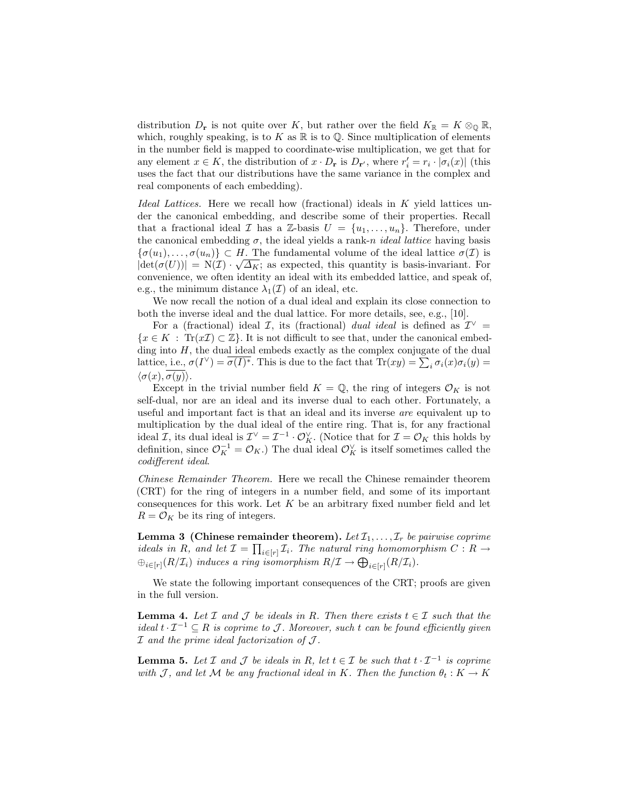distribution  $D_r$  is not quite over K, but rather over the field  $K_{\mathbb{R}} = K \otimes_{\mathbb{Q}} \mathbb{R}$ , which, roughly speaking, is to K as  $\mathbb R$  is to Q. Since multiplication of elements in the number field is mapped to coordinate-wise multiplication, we get that for any element  $x \in K$ , the distribution of  $x \cdot D_r$  is  $D_{r'}$ , where  $r'_i = r_i \cdot |\sigma_i(x)|$  (this uses the fact that our distributions have the same variance in the complex and real components of each embedding).

Ideal Lattices. Here we recall how (fractional) ideals in K yield lattices under the canonical embedding, and describe some of their properties. Recall that a fractional ideal  $\mathcal I$  has a  $\mathbb Z$ -basis  $U = \{u_1, \ldots, u_n\}$ . Therefore, under the canonical embedding  $\sigma$ , the ideal yields a rank-n *ideal lattice* having basis  $\{\sigma(u_1), \ldots, \sigma(u_n)\} \subset H$ . The fundamental volume of the ideal lattice  $\sigma(\mathcal{I})$  is  $|\text{det}(\sigma(U))| = N(\mathcal{I}) \cdot \sqrt{\Delta_K}$ ; as expected, this quantity is basis-invariant. For convenience, we often identity an ideal with its embedded lattice, and speak of, e.g., the minimum distance  $\lambda_1(\mathcal{I})$  of an ideal, etc.

We now recall the notion of a dual ideal and explain its close connection to both the inverse ideal and the dual lattice. For more details, see, e.g., [10].

For a (fractional) ideal I, its (fractional) dual ideal is defined as  $\mathcal{I}^{\vee}$  =  ${x \in K : \text{Tr}(x\mathcal{I}) \subset \mathbb{Z}}$ . It is not difficult to see that, under the canonical embedding into  $H$ , the dual ideal embeds exactly as the complex conjugate of the dual lattice, i.e.,  $\sigma(I^{\vee}) = \overline{\sigma(I)^*}$ . This is due to the fact that  $\text{Tr}(xy) = \sum_i \sigma_i(x)\sigma_i(y) =$  $\langle \sigma(x), \overline{\sigma(y)} \rangle$ .

Except in the trivial number field  $K = \mathbb{Q}$ , the ring of integers  $\mathcal{O}_K$  is not self-dual, nor are an ideal and its inverse dual to each other. Fortunately, a useful and important fact is that an ideal and its inverse are equivalent up to multiplication by the dual ideal of the entire ring. That is, for any fractional ideal *I*, its dual ideal is  $\mathcal{I}^{\vee} = \mathcal{I}^{-1} \cdot \mathcal{O}_K^{\vee}$ . (Notice that for  $\mathcal{I} = \mathcal{O}_K$  this holds by definition, since  $\mathcal{O}_K^{-1} = \mathcal{O}_K$ .) The dual ideal  $\mathcal{O}_K^{\vee}$  is itself sometimes called the codifferent ideal.

Chinese Remainder Theorem. Here we recall the Chinese remainder theorem (CRT) for the ring of integers in a number field, and some of its important consequences for this work. Let  $K$  be an arbitrary fixed number field and let  $R = \mathcal{O}_K$  be its ring of integers.

**Lemma 3 (Chinese remainder theorem).** Let  $\mathcal{I}_1, \ldots, \mathcal{I}_r$  be pairwise coprime ideals in R, and let  $\mathcal{I} = \prod_{i \in [r]} \mathcal{I}_i$ . The natural ring homomorphism  $C: R \to$  $\oplus_{i\in[r]}(R/\mathcal{I}_i)$  induces a ring isomorphism  $R/\mathcal{I}\to \bigoplus_{i\in[r]}(R/\mathcal{I}_i)$ .

We state the following important consequences of the CRT; proofs are given in the full version.

**Lemma 4.** Let  $\mathcal I$  and  $\mathcal J$  be ideals in R. Then there exists  $t \in \mathcal I$  such that the *ideal*  $t \cdot \mathcal{I}^{-1}$  ⊆ R *is coprime to J. Moreover, such t can be found efficiently given*  $I$  and the prime ideal factorization of  $J$ .

**Lemma 5.** Let  $\mathcal I$  and  $\mathcal J$  be ideals in R, let  $t \in \mathcal I$  be such that  $t \cdot \mathcal I^{-1}$  is coprime with J, and let M be any fractional ideal in K. Then the function  $\theta_t : K \to K$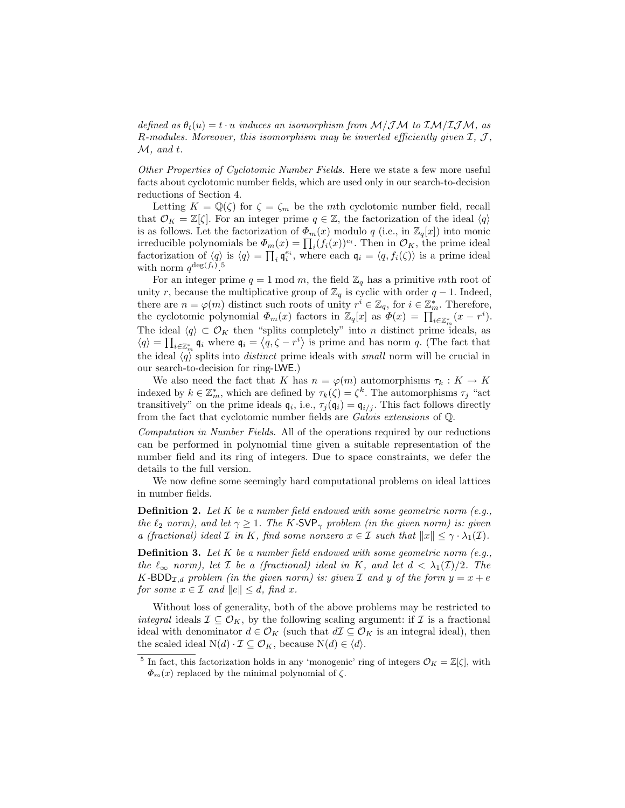defined as  $\theta_t(u) = t \cdot u$  induces an isomorphism from  $\mathcal{M}/\mathcal{I}\mathcal{M}$  to  $\mathcal{I}\mathcal{M}/\mathcal{I}\mathcal{J}\mathcal{M}$ , as R-modules. Moreover, this isomorphism may be inverted efficiently given  $\mathcal{I}, \mathcal{J},$  $M$ , and  $t$ .

Other Properties of Cyclotomic Number Fields. Here we state a few more useful facts about cyclotomic number fields, which are used only in our search-to-decision reductions of Section 4.

Letting  $K = \mathbb{Q}(\zeta)$  for  $\zeta = \zeta_m$  be the mth cyclotomic number field, recall that  $\mathcal{O}_K = \mathbb{Z}[\zeta]$ . For an integer prime  $q \in \mathbb{Z}$ , the factorization of the ideal  $\langle q \rangle$ is as follows. Let the factorization of  $\Phi_m(x)$  modulo q (i.e., in  $\mathbb{Z}_q[x]$ ) into monic irreducible polynomials be  $\Phi_m(x) = \prod_i (f_i(x))^{e_i}$ . Then in  $\mathcal{O}_K$ , the prime ideal if it is here in  $\mathcal{L}_m$  is  $\mathcal{L}_m$  if  $\mathcal{L}_m$  is  $\mathcal{L}_m$  is  $\mathcal{L}_m$  is  $\mathcal{L}_m$  is  $\mathcal{L}_m$  is  $\mathcal{L}_m$  is  $\mathcal{L}_m$  is  $\mathcal{L}_m$  is  $\mathcal{L}_m$  is  $\mathcal{L}_m$  is  $\mathcal{L}_m$  is  $\mathcal{L}_m$  is  $\mathcal{L}_m$  is a prime i with norm  $q^{\deg(f_i)}$ .<sup>5</sup>

For an integer prime  $q = 1 \mod m$ , the field  $\mathbb{Z}_q$  has a primitive mth root of unity r, because the multiplicative group of  $\mathbb{Z}_q$  is cyclic with order  $q-1$ . Indeed, there are  $n = \varphi(m)$  distinct such roots of unity  $r^i \in \mathbb{Z}_q$ , for  $i \in \mathbb{Z}_m^*$ . Therefore, the cyclotomic polynomial  $\Phi_m(x)$  factors in  $\mathbb{Z}_q[x]$  as  $\Phi(x) = \prod_{i \in \mathbb{Z}_m^*}^{\infty} (x - r^i)$ . The ideal  $\langle q \rangle \subset \mathcal{O}_K$  then "splits completely" into n distinct prime ideals, as  $\langle q \rangle = \prod_{i \in \mathbb{Z}_m^*} \mathfrak{q}_i$  where  $\mathfrak{q}_i = \langle q, \zeta - r^i \rangle$  is prime and has norm q. (The fact that the ideal  $\langle q \rangle$  splits into *distinct* prime ideals with *small* norm will be crucial in our search-to-decision for ring-LWE.)

We also need the fact that K has  $n = \varphi(m)$  automorphisms  $\tau_k : K \to K$ indexed by  $k \in \mathbb{Z}_m^*$ , which are defined by  $\tau_k(\zeta) = \zeta^k$ . The automorphisms  $\tau_j$  "act transitively" on the prime ideals  $\mathfrak{q}_i$ , i.e.,  $\tau_j(\mathfrak{q}_i) = \mathfrak{q}_{i/j}$ . This fact follows directly from the fact that cyclotomic number fields are Galois extensions of Q.

Computation in Number Fields. All of the operations required by our reductions can be performed in polynomial time given a suitable representation of the number field and its ring of integers. Due to space constraints, we defer the details to the full version.

We now define some seemingly hard computational problems on ideal lattices in number fields.

**Definition 2.** Let K be a number field endowed with some geometric norm (e.g., the  $\ell_2$  norm), and let  $\gamma \geq 1$ . The K-SVP<sub> $\gamma$ </sub> problem (in the given norm) is: given a (fractional) ideal I in K, find some nonzero  $x \in \mathcal{I}$  such that  $||x|| \leq \gamma \cdot \lambda_1(\mathcal{I}).$ 

**Definition 3.** Let  $K$  be a number field endowed with some geometric norm (e.g., the  $\ell_{\infty}$  norm), let  $\mathcal I$  be a (fractional) ideal in K, and let  $d < \lambda_1(\mathcal I)/2$ . The K-BDD<sub>I,d</sub> problem (in the given norm) is: given I and y of the form  $y = x + e$ for some  $x \in \mathcal{I}$  and  $||e|| \leq d$ , find x.

Without loss of generality, both of the above problems may be restricted to integral ideals  $\mathcal{I} \subseteq \mathcal{O}_K$ , by the following scaling argument: if  $\mathcal{I}$  is a fractional ideal with denominator  $d \in \mathcal{O}_K$  (such that  $d\mathcal{I} \subseteq \mathcal{O}_K$  is an integral ideal), then the scaled ideal  $N(d) \cdot \mathcal{I} \subseteq \mathcal{O}_K$ , because  $N(d) \in \langle d \rangle$ .

<sup>&</sup>lt;sup>5</sup> In fact, this factorization holds in any 'monogenic' ring of integers  $\mathcal{O}_K = \mathbb{Z}[\zeta]$ , with  $\Phi_m(x)$  replaced by the minimal polynomial of  $\zeta$ .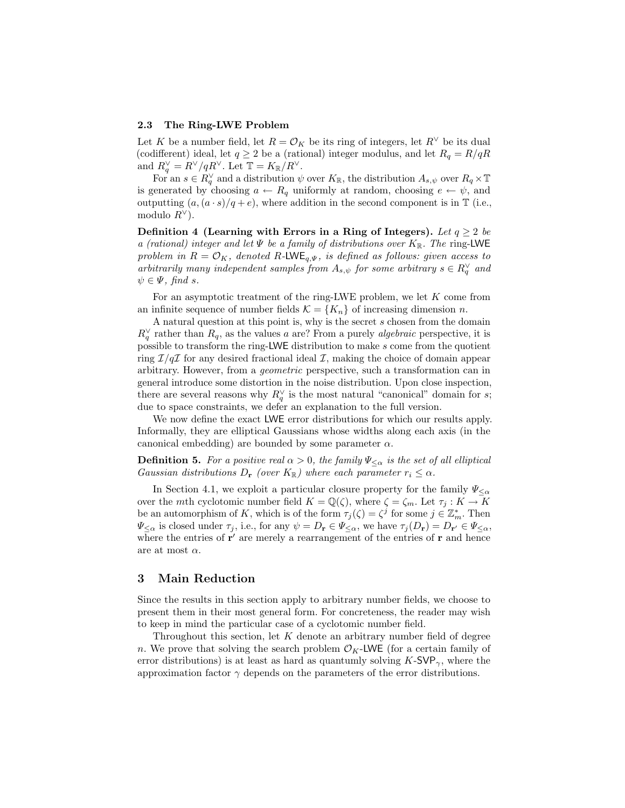#### 2.3 The Ring-LWE Problem

Let K be a number field, let  $R = \mathcal{O}_K$  be its ring of integers, let  $R^{\vee}$  be its dual (codifferent) ideal, let  $q \ge 2$  be a (rational) integer modulus, and let  $R_q = R/qR$ and  $R_q^{\vee} = R^{\vee}/qR^{\vee}$ . Let  $\mathbb{T} = K_{\mathbb{R}}/R^{\vee}$ .

For an  $s \in R_q^{\vee}$  and a distribution  $\psi$  over  $K_{\mathbb{R}}$ , the distribution  $A_{s,\psi}$  over  $R_q \times \mathbb{T}$ is generated by choosing  $a \leftarrow R_q$  uniformly at random, choosing  $e \leftarrow \psi$ , and outputting  $(a, (a \cdot s)/q + e)$ , where addition in the second component is in T (i.e., modulo  $R^{\vee}$ ).

Definition 4 (Learning with Errors in a Ring of Integers). Let  $q \geq 2$  be a (rational) integer and let  $\Psi$  be a family of distributions over  $K_{\mathbb{R}}$ . The ring-LWE problem in  $R = \mathcal{O}_K$ , denoted R-LWE<sub>q,Ψ</sub>, is defined as follows: given access to arbitrarily many independent samples from  $A_{s,\psi}$  for some arbitrary  $s \in R_q^{\vee}$  and  $\psi \in \Psi$ , find s.

For an asymptotic treatment of the ring-LWE problem, we let  $K$  come from an infinite sequence of number fields  $\mathcal{K} = \{K_n\}$  of increasing dimension n.

A natural question at this point is, why is the secret s chosen from the domain  $R_q^{\vee}$  rather than  $R_q$ , as the values a are? From a purely *algebraic* perspective, it is possible to transform the ring-LWE distribution to make s come from the quotient ring  $\mathcal{I}/q\mathcal{I}$  for any desired fractional ideal  $\mathcal{I}$ , making the choice of domain appear arbitrary. However, from a geometric perspective, such a transformation can in general introduce some distortion in the noise distribution. Upon close inspection, there are several reasons why  $R_q^{\vee}$  is the most natural "canonical" domain for s; due to space constraints, we defer an explanation to the full version.

We now define the exact LWE error distributions for which our results apply. Informally, they are elliptical Gaussians whose widths along each axis (in the canonical embedding) are bounded by some parameter  $\alpha$ .

**Definition 5.** For a positive real  $\alpha > 0$ , the family  $\Psi_{\leq \alpha}$  is the set of all elliptical Gaussian distributions  $D_r$  (over  $K_{\mathbb{R}}$ ) where each parameter  $r_i \leq \alpha$ .

In Section 4.1, we exploit a particular closure property for the family  $\Psi_{\leq \alpha}$ over the mth cyclotomic number field  $K = \mathbb{Q}(\zeta)$ , where  $\zeta = \zeta_m$ . Let  $\tau_j : K \to K$ be an automorphism of K, which is of the form  $\tau_j(\zeta) = \zeta^j$  for some  $j \in \mathbb{Z}_m^*$ . Then  $\Psi_{\leq \alpha}$  is closed under  $\tau_j$ , i.e., for any  $\psi = D_{\mathbf{r}} \in \Psi_{\leq \alpha}$ , we have  $\tau_j(D_{\mathbf{r}}) = D_{\mathbf{r}'} \in \Psi_{\leq \alpha}$ , where the entries of  $\mathbf{r}'$  are merely a rearrangement of the entries of  $\mathbf{r}$  and hence are at most  $\alpha$ .

# 3 Main Reduction

Since the results in this section apply to arbitrary number fields, we choose to present them in their most general form. For concreteness, the reader may wish to keep in mind the particular case of a cyclotomic number field.

Throughout this section, let  $K$  denote an arbitrary number field of degree n. We prove that solving the search problem  $\mathcal{O}_K$ -LWE (for a certain family of error distributions) is at least as hard as quantumly solving  $K$ -SVP<sub> $\gamma$ </sub>, where the approximation factor  $\gamma$  depends on the parameters of the error distributions.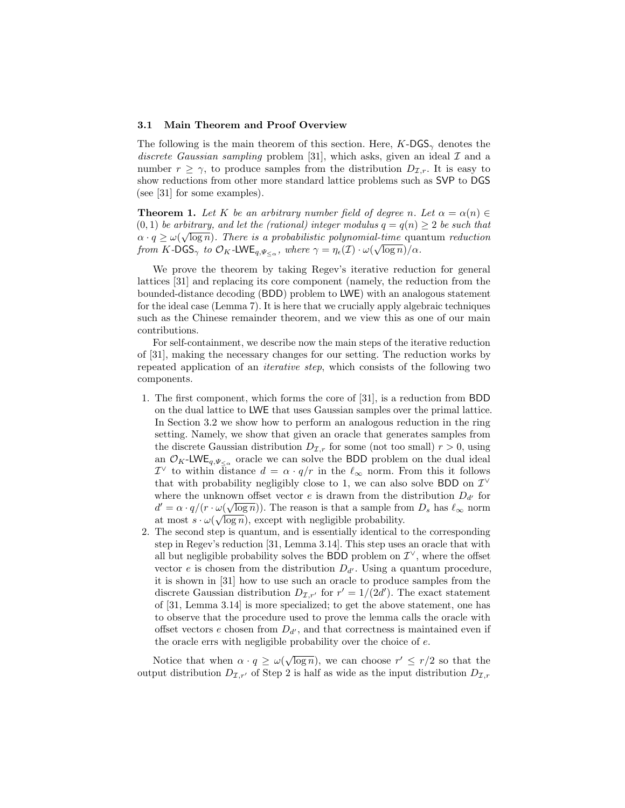## 3.1 Main Theorem and Proof Overview

The following is the main theorem of this section. Here,  $K$ -DGS<sub> $\gamma$ </sub> denotes the discrete Gaussian sampling problem [31], which asks, given an ideal  $\mathcal I$  and a number  $r \geq \gamma$ , to produce samples from the distribution  $D_{\mathcal{I},r}$ . It is easy to show reductions from other more standard lattice problems such as SVP to DGS (see [31] for some examples).

**Theorem 1.** Let K be an arbitrary number field of degree n. Let  $\alpha = \alpha(n) \in$  $(0, 1)$  be arbitrary, and let the (rational) integer modulus  $q = q(n) \geq 2$  be such that  $\alpha \cdot q \geq \omega(\sqrt{\log n})$ . There is a probabilistic polynomial-time quantum reduction from K-DGS<sub> $\gamma$ </sub> to  $\mathcal{O}_K$ -LWE<sub>q, $\Psi_{\leq \alpha}$ </sub>, where  $\gamma = \eta_{\epsilon}(\mathcal{I}) \cdot \omega(\sqrt{\log n})/\alpha$ .

We prove the theorem by taking Regev's iterative reduction for general lattices [31] and replacing its core component (namely, the reduction from the bounded-distance decoding (BDD) problem to LWE) with an analogous statement for the ideal case (Lemma 7). It is here that we crucially apply algebraic techniques such as the Chinese remainder theorem, and we view this as one of our main contributions.

For self-containment, we describe now the main steps of the iterative reduction of [31], making the necessary changes for our setting. The reduction works by repeated application of an iterative step, which consists of the following two components.

- 1. The first component, which forms the core of [31], is a reduction from BDD on the dual lattice to LWE that uses Gaussian samples over the primal lattice. In Section 3.2 we show how to perform an analogous reduction in the ring setting. Namely, we show that given an oracle that generates samples from the discrete Gaussian distribution  $D_{\mathcal{I},r}$  for some (not too small)  $r > 0$ , using an  $\mathcal{O}_K$ -LWE<sub>q, $\Psi_{\leq \alpha}$ </sub> oracle we can solve the BDD problem on the dual ideal  $\mathcal{I}^{\vee}$  to within distance  $d = \alpha \cdot q/r$  in the  $\ell_{\infty}$  norm. From this it follows that with probability negligibly close to 1, we can also solve BDD on  $\mathcal{I}^{\vee}$ where the unknown offset vector e is drawn from the distribution  $D_{d'}$  for  $d' = \alpha \cdot q/(r \cdot \omega(\sqrt{\log n}))$ . The reason is that a sample from  $D_s$  has  $\ell_{\infty}$  norm at most  $s \cdot \omega(\sqrt{\log n})$ , except with negligible probability.
- 2. The second step is quantum, and is essentially identical to the corresponding step in Regev's reduction [31, Lemma 3.14]. This step uses an oracle that with all but negligible probability solves the BDD problem on  $\mathcal{I}^{\vee}$ , where the offset vector e is chosen from the distribution  $D_{d'}$ . Using a quantum procedure, it is shown in [31] how to use such an oracle to produce samples from the discrete Gaussian distribution  $D_{\mathcal{I},r'}$  for  $r' = 1/(2d')$ . The exact statement of [31, Lemma 3.14] is more specialized; to get the above statement, one has to observe that the procedure used to prove the lemma calls the oracle with offset vectors e chosen from  $D_{d'}$ , and that correctness is maintained even if the oracle errs with negligible probability over the choice of e.

Notice that when  $\alpha \cdot q \ge \omega(\sqrt{\log n})$ , we can choose  $r' \le r/2$  so that the output distribution  $D_{\mathcal{I},r'}$  of Step 2 is half as wide as the input distribution  $D_{\mathcal{I},r}$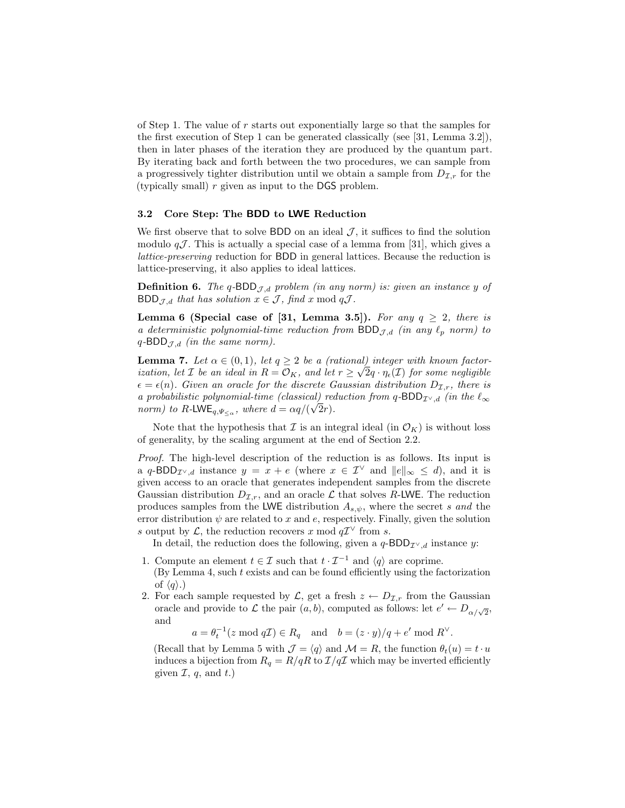of Step 1. The value of  $r$  starts out exponentially large so that the samples for the first execution of Step 1 can be generated classically (see [31, Lemma 3.2]), then in later phases of the iteration they are produced by the quantum part. By iterating back and forth between the two procedures, we can sample from a progressively tighter distribution until we obtain a sample from  $D_{\mathcal{I},r}$  for the (typically small)  $r$  given as input to the DGS problem.

# 3.2 Core Step: The BDD to LWE Reduction

We first observe that to solve BDD on an ideal  $\mathcal{J}$ , it suffices to find the solution modulo  $qJ$ . This is actually a special case of a lemma from [31], which gives a lattice-preserving reduction for BDD in general lattices. Because the reduction is lattice-preserving, it also applies to ideal lattices.

**Definition 6.** The q-BDD<sub>*A,d</sub>* problem (in any norm) is: given an instance y of</sub> BDD<sub> $I_d$ </sub> that has solution  $x \in J$ , find x mod qJ.

Lemma 6 (Special case of [31, Lemma 3.5]). For any  $q \geq 2$ , there is a deterministic polynomial-time reduction from  $BDD_{\mathcal{J},d}$  (in any  $\ell_p$  norm) to q-BDD $_{\mathcal{J},d}$  (in the same norm).

**Lemma 7.** Let  $\alpha \in (0,1)$ , let  $q \geq 2$  be a (rational) integer with known factorization, let  $\mathcal I$  be an ideal in  $R=\mathcal O_K,$  and let  $r\geq \sqrt{2}q\cdot\eta_\epsilon(\mathcal I)$  for some negligible  $\epsilon = \epsilon(n)$ . Given an oracle for the discrete Gaussian distribution  $D_{\mathcal{I},r}$ , there is a probabilistic polynomial-time (classical) reduction from q-BDD<sub>I</sub> $\vee$ ,d (in the  $\ell_{\infty}$ norm) to  $R$ -LWE<sub>q, $\Psi_{\leq \alpha}$ </sub>, where  $d = \alpha q/(\sqrt{2r})$ .

Note that the hypothesis that  $\mathcal I$  is an integral ideal (in  $\mathcal O_K$ ) is without loss of generality, by the scaling argument at the end of Section 2.2.

Proof. The high-level description of the reduction is as follows. Its input is a q-BDD<sub>I<sup> $\vee$ </sup>,d instance  $y = x + e$  (where  $x \in \mathcal{I}^{\vee}$  and  $||e||_{\infty} \leq d$ ), and it is</sub> given access to an oracle that generates independent samples from the discrete Gaussian distribution  $D_{\mathcal{I},r}$ , and an oracle  $\mathcal L$  that solves R-LWE. The reduction produces samples from the LWE distribution  $A_{s,\psi}$ , where the secret s and the error distribution  $\psi$  are related to x and e, respectively. Finally, given the solution s output by  $\mathcal{L}$ , the reduction recovers x mod  $q\mathcal{I}^{\vee}$  from s.

In detail, the reduction does the following, given a  $q$ -BDD<sub>*I*<sup> $\vee$ </sup>,d instance *y*:</sub>

1. Compute an element  $t \in \mathcal{I}$  such that  $t \cdot \mathcal{I}^{-1}$  and  $\langle q \rangle$  are coprime.

(By Lemma 4, such  $t$  exists and can be found efficiently using the factorization of  $\langle q \rangle$ .)

2. For each sample requested by  $\mathcal{L}$ , get a fresh  $z \leftarrow D_{\mathcal{I},r}$  from the Gaussian oracle and provide to L the pair  $(a, b)$ , computed as follows: let  $e' \leftarrow D_{\alpha/\sqrt{2}}$ , and

 $a = \theta_t^{-1}(z \mod q\mathcal{I}) \in R_q$  and  $b = (z \cdot y)/q + e' \mod R^{\vee}$ .

(Recall that by Lemma 5 with  $\mathcal{J} = \langle q \rangle$  and  $\mathcal{M} = R$ , the function  $\theta_t(u) = t \cdot u$ induces a bijection from  $R_q = R/qR$  to  $\mathcal{I}/q\mathcal{I}$  which may be inverted efficiently given  $\mathcal{I}, q$ , and  $t$ .)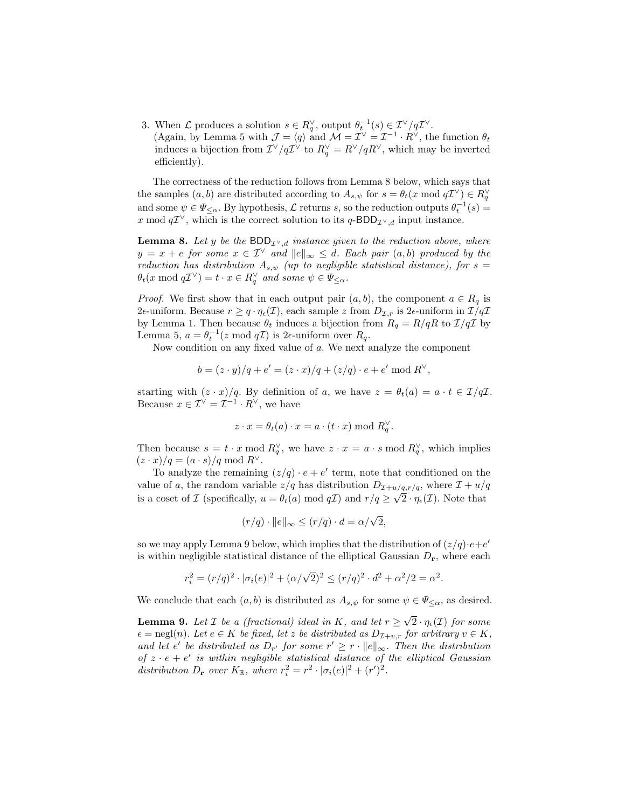3. When  $\mathcal L$  produces a solution  $s \in R_q^{\vee}$ , output  $\theta_t^{-1}(s) \in \mathcal I^{\vee}/q\mathcal I^{\vee}$ . (Again, by Lemma 5 with  $\mathcal{J} = \langle q \rangle$  and  $\mathcal{M} = \mathcal{I}^{\vee} = \mathcal{I}^{-1} \cdot R^{\vee}$ , the function  $\theta_t$ induces a bijection from  $\mathcal{I}^{\vee}/q\mathcal{I}^{\vee}$  to  $R_q^{\vee} = R^{\vee}/qR^{\vee}$ , which may be inverted efficiently).

The correctness of the reduction follows from Lemma 8 below, which says that the samples  $(a, b)$  are distributed according to  $A_{s, \psi}$  for  $s = \theta_t(x \mod q\mathcal{I}^{\vee}) \in R_q^{\vee}$ and some  $\psi \in \Psi_{\leq \alpha}$ . By hypothesis,  $\mathcal L$  returns s, so the reduction outputs  $\theta_t^{-1}(s) =$ x mod  $q\mathcal{I}^{\vee}$ , which is the correct solution to its  $q$ -BDD<sub> $\mathcal{I}^{\vee},d$ </sub> input instance.

**Lemma 8.** Let y be the BDD<sub>I<sup> $\vee$ </sup>,d instance given to the reduction above, where</sub>  $y = x + e$  for some  $x \in \mathcal{I}^{\vee}$  and  $||e||_{\infty} \leq d$ . Each pair  $(a, b)$  produced by the reduction has distribution  $A_{s,\psi}$  (up to negligible statistical distance), for  $s =$  $\theta_t(x \mod q\mathcal{I}^{\vee}) = t \cdot x \in R_q^{\vee}$  and some  $\psi \in \Psi_{\leq \alpha}$ .

*Proof.* We first show that in each output pair  $(a, b)$ , the component  $a \in R_q$  is 2 $\epsilon$ -uniform. Because  $r \geq q \cdot \eta_{\epsilon}(\mathcal{I})$ , each sample z from  $D_{\mathcal{I},r}$  is 2 $\epsilon$ -uniform in  $\mathcal{I}/q\mathcal{I}$ by Lemma 1. Then because  $\theta_t$  induces a bijection from  $R_q = R/qR$  to  $\mathcal{I}/q\mathcal{I}$  by Lemma 5,  $a = \theta_t^{-1}(z \mod q\mathcal{I})$  is  $2\epsilon$ -uniform over  $R_q$ .

Now condition on any fixed value of a. We next analyze the component

$$
b = (z \cdot y)/q + e' = (z \cdot x)/q + (z/q) \cdot e + e' \mod R^{\vee},
$$

starting with  $(z \cdot x)/q$ . By definition of a, we have  $z = \theta_t(a) = a \cdot t \in \mathcal{I}/q\mathcal{I}$ . Because  $x \in \mathcal{I}^{\vee} = \mathcal{I}^{-1} \cdot R^{\vee}$ , we have

$$
z \cdot x = \theta_t(a) \cdot x = a \cdot (t \cdot x) \bmod R_q^{\vee}.
$$

Then because  $s = t \cdot x \mod R_q^{\vee}$ , we have  $z \cdot x = a \cdot s \mod R_q^{\vee}$ , which implies  $(z \cdot x)/q = (a \cdot s)/q \bmod R^{\vee}.$ 

To analyze the remaining  $(z/q) \cdot e + e'$  term, note that conditioned on the value of a, the random variable  $z/q$  has distribution  $D_{\mathcal{I}+u/q,r/q}$ , where  $\mathcal{I}+u/q$ is a coset of *I* (specifically,  $u = \theta_t(a) \mod qI$ ) and  $r/q \geq \sqrt{2} \cdot \eta_{\epsilon}(I)$ . Note that

$$
(r/q) \cdot ||e||_{\infty} \le (r/q) \cdot d = \alpha/\sqrt{2},
$$

so we may apply Lemma 9 below, which implies that the distribution of  $(z/q) \cdot e + e'$ is within negligible statistical distance of the elliptical Gaussian  $D_{\mathbf{r}}$ , where each

$$
r_i^2 = (r/q)^2 \cdot |\sigma_i(e)|^2 + (\alpha/\sqrt{2})^2 \le (r/q)^2 \cdot d^2 + \alpha^2/2 = \alpha^2.
$$

We conclude that each  $(a, b)$  is distributed as  $A_{s,\psi}$  for some  $\psi \in \Psi_{\leq \alpha}$ , as desired.

**Lemma 9.** Let  $\mathcal I$  be a (fractional) ideal in K, and let  $r \geq$ √  $2\cdot \eta_\epsilon(\mathcal{I})$  for some  $\epsilon = \text{negl}(n)$ . Let  $e \in K$  be fixed, let z be distributed as  $D_{\mathcal{I}+v,r}$  for arbitrary  $v \in K$ , and let e' be distributed as  $D_{r'}$  for some  $r' \geq r \cdot ||e||_{\infty}$ . Then the distribution of  $z \cdot e + e'$  is within negligible statistical distance of the elliptical Gaussian distribution  $D_r$  over  $K_{\mathbb{R}}$ , where  $r_i^2 = r^2 \cdot |\sigma_i(e)|^2 + (r')^2$ .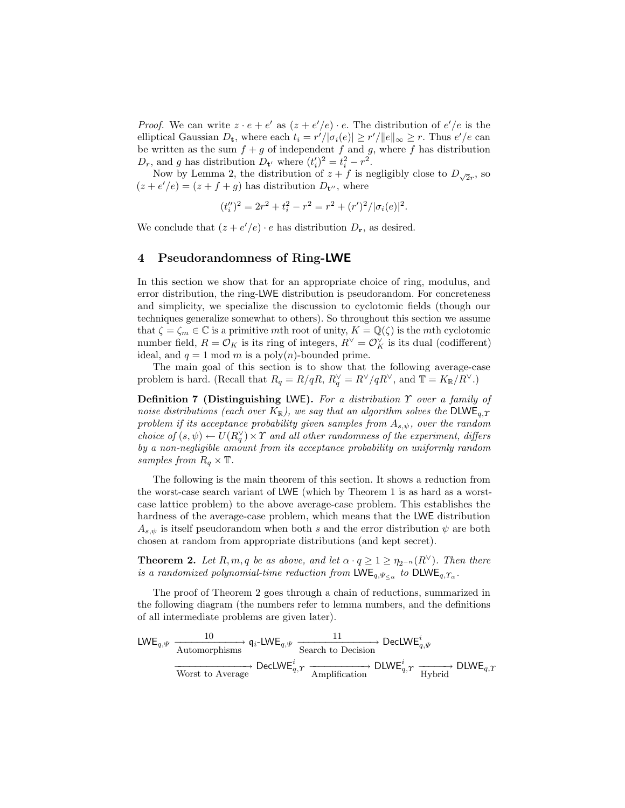*Proof.* We can write  $z \cdot e + e'$  as  $(z + e'/e) \cdot e$ . The distribution of  $e'/e$  is the elliptical Gaussian  $D_t$ , where each  $t_i = r'/|\sigma_i(e)| \geq r'/\|e\|_{\infty} \geq r$ . Thus  $e'/e$  can be written as the sum  $f + g$  of independent f and g, where f has distribution  $D_r$ , and g has distribution  $D_{\mathbf{t}'}$  where  $(t'_i)^2 = t_i^2 - r^2$ .

Now by Lemma 2, the distribution of  $z + f$  is negligibly close to  $D_{\sqrt{2}r}$ , so  $(z + e'/e) = (z + f + g)$  has distribution  $D_{\mathbf{t}''}$ , where

$$
(t''_i)^2 = 2r^2 + t_i^2 - r^2 = r^2 + (r')^2/|\sigma_i(e)|^2.
$$

We conclude that  $(z + e'/e) \cdot e$  has distribution  $D_r$ , as desired.

# 4 Pseudorandomness of Ring-LWE

In this section we show that for an appropriate choice of ring, modulus, and error distribution, the ring-LWE distribution is pseudorandom. For concreteness and simplicity, we specialize the discussion to cyclotomic fields (though our techniques generalize somewhat to others). So throughout this section we assume that  $\zeta = \zeta_m \in \mathbb{C}$  is a primitive mth root of unity,  $K = \mathbb{Q}(\zeta)$  is the mth cyclotomic number field,  $R = \mathcal{O}_K$  is its ring of integers,  $R^{\vee} = \mathcal{O}_K^{\vee}$  is its dual (codifferent) ideal, and  $q = 1 \mod m$  is a poly $(n)$ -bounded prime.

The main goal of this section is to show that the following average-case problem is hard. (Recall that  $R_q = R/qR$ ,  $R_q^{\vee} = R^{\vee}/qR^{\vee}$ , and  $\mathbb{T} = K_{\mathbb{R}}/R^{\vee}$ .)

Definition 7 (Distinguishing LWE). For a distribution Υ over a family of noise distributions (each over  $K_{\mathbb{R}}$ ), we say that an algorithm solves the DLWE<sub>q, Y</sub> problem if its acceptance probability given samples from  $A_{s,\psi}$ , over the random choice of  $(s, \psi) \leftarrow U(R_q^{\vee}) \times \Upsilon$  and all other randomness of the experiment, differs by a non-negligible amount from its acceptance probability on uniformly random samples from  $R_q \times \mathbb{T}$ .

The following is the main theorem of this section. It shows a reduction from the worst-case search variant of LWE (which by Theorem 1 is as hard as a worstcase lattice problem) to the above average-case problem. This establishes the hardness of the average-case problem, which means that the LWE distribution  $A_{s,\psi}$  is itself pseudorandom when both s and the error distribution  $\psi$  are both chosen at random from appropriate distributions (and kept secret).

**Theorem 2.** Let R, m, q be as above, and let  $\alpha \cdot q \geq 1 \geq \eta_{2^{-n}}(R^{\vee})$ . Then there is a randomized polynomial-time reduction from  $\text{LWE}_{q, \Psi_{\leq \alpha}}$  to  $\text{DLWE}_{q, \Upsilon_{\alpha}}$ .

The proof of Theorem 2 goes through a chain of reductions, summarized in the following diagram (the numbers refer to lemma numbers, and the definitions of all intermediate problems are given later).

$$
\begin{array}{ccc}\n\text{LWE}_{q,\Psi} \xrightarrow{\hspace{0.5cm} 10 \hspace{0.5cm} \text{Automorphisms}} \mathfrak{q}_i\text{-LWE}_{q,\Psi} \xrightarrow{\hspace{0.5cm} 11 \hspace{0.5cm} \text{BeclWE}_{q,\Psi}^i} \text{DeclWE}_{q,\Psi}^i \\
\downarrow{\hspace{2cm} \text{Worst to Average}} & \text{DeclWE}_{q,\Upsilon}^i \xrightarrow{\hspace{2cm} 1 \hspace{ \text{mplification}} } \text{DLWE}_{q,\Upsilon}^i \xrightarrow{\hspace{2cm} 1 \hspace{ \text{mplification}} } \text{DLWE}_{q,\Upsilon}^i \xrightarrow{\hspace{2cm} 1 \hspace{ \text{mplification}} } \text{DLWE}_{q,\Upsilon}^i.\n\end{array}
$$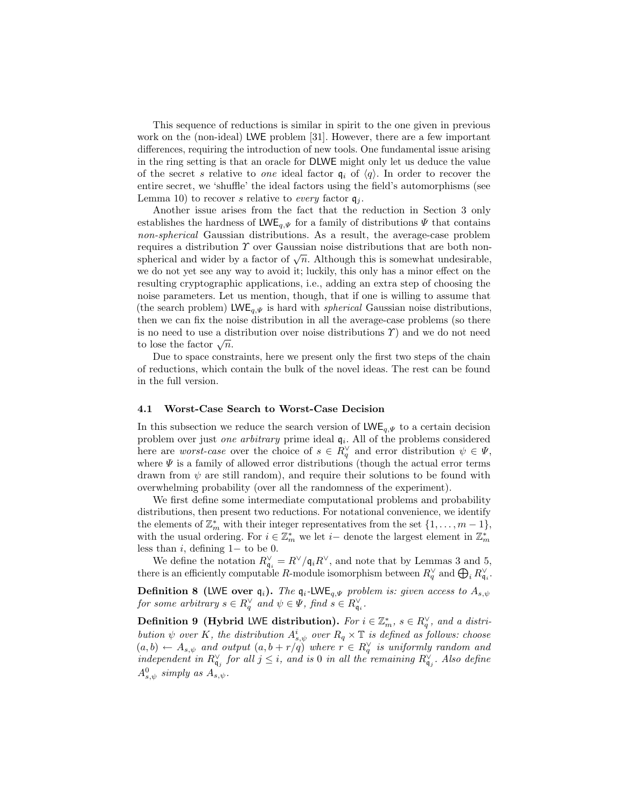This sequence of reductions is similar in spirit to the one given in previous work on the (non-ideal) LWE problem [31]. However, there are a few important differences, requiring the introduction of new tools. One fundamental issue arising in the ring setting is that an oracle for DLWE might only let us deduce the value of the secret s relative to one ideal factor  $q_i$  of  $\langle q \rangle$ . In order to recover the entire secret, we 'shuffle' the ideal factors using the field's automorphisms (see Lemma 10) to recover s relative to every factor  $\mathfrak{q}_i$ .

Another issue arises from the fact that the reduction in Section 3 only establishes the hardness of LWE<sub>q,Ψ</sub> for a family of distributions  $\Psi$  that contains non-spherical Gaussian distributions. As a result, the average-case problem requires a distribution  $\gamma$  over Gaussian noise distributions that are both non-Equires a distribution T over Gaussian holder distributions that are both hon-<br>spherical and wider by a factor of  $\sqrt{n}$ . Although this is somewhat undesirable, we do not yet see any way to avoid it; luckily, this only has a minor effect on the resulting cryptographic applications, i.e., adding an extra step of choosing the noise parameters. Let us mention, though, that if one is willing to assume that (the search problem) LWE<sub>q,V</sub> is hard with *spherical* Gaussian noise distributions, then we can fix the noise distribution in all the average-case problems (so there is no need to use a distribution over noise distributions  $\hat{T}$ ) and we do not need to lose the factor  $\sqrt{n}$ .

Due to space constraints, here we present only the first two steps of the chain of reductions, which contain the bulk of the novel ideas. The rest can be found in the full version.

## 4.1 Worst-Case Search to Worst-Case Decision

In this subsection we reduce the search version of  $\mathsf{LWE}_{q,\Psi}$  to a certain decision problem over just one arbitrary prime ideal  $q_i$ . All of the problems considered here are *worst-case* over the choice of  $s \in R_q^{\vee}$  and error distribution  $\psi \in \Psi$ , where  $\Psi$  is a family of allowed error distributions (though the actual error terms drawn from  $\psi$  are still random), and require their solutions to be found with overwhelming probability (over all the randomness of the experiment).

We first define some intermediate computational problems and probability distributions, then present two reductions. For notational convenience, we identify the elements of  $\mathbb{Z}_m^*$  with their integer representatives from the set  $\{1,\ldots,m-1\}$ , with the usual ordering. For  $i \in \mathbb{Z}_m^*$  we let  $i-$  denote the largest element in  $\mathbb{Z}_m^*$ less than  $i$ , defining 1– to be 0.

We define the notation  $R_{\mathfrak{q}_i}^{\vee} = R^{\vee}/\mathfrak{q}_i R^{\vee}$ , and note that by Lemmas 3 and 5, there is an efficiently computable R-module isomorphism between  $R_q^{\vee}$  and  $\bigoplus_i R_{\mathfrak{q}_i}^{\vee}$ .

**Definition 8** (LWE over  $q_i$ ). The  $q_i$ -LWE $_{q,\Psi}$  problem is: given access to  $A_{s,\psi}$ for some arbitrary  $s \in R_q^{\vee}$  and  $\psi \in \Psi$ , find  $s \in R_{q_i}^{\vee}$ .

**Definition 9** (Hybrid LWE distribution). For  $i \in \mathbb{Z}_m^*$ ,  $s \in R_q^{\vee}$ , and a distribution  $\psi$  over K, the distribution  $A^i_{s,\psi}$  over  $R_q \times \mathbb{T}$  is defined as follows: choose  $(a, b) \leftarrow A_{s, \psi}$  and output  $(a, b + r/q)$  where  $r \in R_q^{\vee}$  is uniformly random and independent in  $R^{\vee}_{\mathfrak{q}_j}$  for all  $j \leq i$ , and is 0 in all the remaining  $R^{\vee}_{\mathfrak{q}_j}$ . Also define  $A^0_{s,\psi}$  simply as  $A_{s,\psi}$ .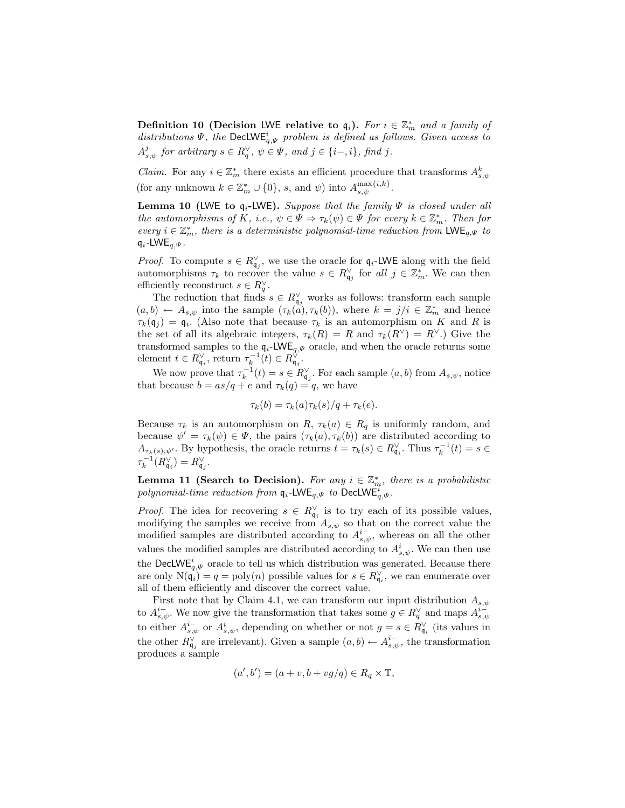Definition 10 (Decision LWE relative to  $q_i$ ). For  $i \in \mathbb{Z}_m^*$  and a family of distributions  $\Psi$ , the DecLWE<sup>i</sup><sub>q,V</sub> problem is defined as follows. Given access to  $A^j_{s,\psi}$  for arbitrary  $s \in R_q^{\vee}$ ,  $\psi \in \Psi$ , and  $j \in \{i-,i\}$ , find j.

*Claim.* For any  $i \in \mathbb{Z}_m^*$  there exists an efficient procedure that transforms  $A_{s,\psi}^k$ (for any unknown  $k \in \mathbb{Z}_m^* \cup \{0\}$ , s, and  $\psi$ ) into  $A_{s,\psi}^{\max\{i,k\}}$ .

Lemma 10 (LWE to  $q_i$ -LWE). Suppose that the family  $\Psi$  is closed under all the automorphisms of K, i.e.,  $\psi \in \Psi \Rightarrow \tau_k(\psi) \in \Psi$  for every  $k \in \mathbb{Z}_m^*$ . Then for every  $i \in \mathbb{Z}_m^*$ , there is a deterministic polynomial-time reduction from LWE<sub>q,V</sub> to q<sub>i</sub>-LWE<sub>q, $\Psi$ </sub>.

*Proof.* To compute  $s \in R_{\mathfrak{q}_j}^{\vee}$ , we use the oracle for  $\mathfrak{q}_i$ -LWE along with the field automorphisms  $\tau_k$  to recover the value  $s \in R_{\mathfrak{q}_j}^{\vee}$  for all  $j \in \mathbb{Z}_m^*$ . We can then efficiently reconstruct  $s \in R_q^{\vee}$ .

The reduction that finds  $s \in R^{\vee}_{\mathfrak{q}_j}$  works as follows: transform each sample  $(a, b) \leftarrow A_{s, \psi}$  into the sample  $(\tau_k(a), \tau_k(b))$ , where  $k = j/i \in \mathbb{Z}_m^*$  and hence  $\tau_k(\mathfrak{q}_j) = \mathfrak{q}_i$ . (Also note that because  $\tau_k$  is an automorphism on K and R is the set of all its algebraic integers,  $\tau_k(R) = R$  and  $\tau_k(R^{\vee}) = R^{\vee}$ .) Give the transformed samples to the  $q_i$ -LWE<sub>q,Ψ</sub> oracle, and when the oracle returns some element  $t \in R_{\mathfrak{q}_i}^{\vee}$ , return  $\tau_k^{-1}(t) \in R_{\mathfrak{q}_j}^{\vee}$ .

We now prove that  $\tau_k^{-1}(t) = s \in R^{\vee}_{\mathfrak{q}_j}$ . For each sample  $(a, b)$  from  $A_{s,\psi}$ , notice that because  $b = \frac{as}{q} + e$  and  $\tau_k(q) = q$ , we have

$$
\tau_k(b) = \tau_k(a)\tau_k(s)/q + \tau_k(e).
$$

Because  $\tau_k$  is an automorphism on R,  $\tau_k(a) \in R_q$  is uniformly random, and because  $\psi' = \tau_k(\psi) \in \Psi$ , the pairs  $(\tau_k(a), \tau_k(b))$  are distributed according to  $A_{\tau_k(s),\psi'}$ . By hypothesis, the oracle returns  $t = \tau_k(s) \in R_{\mathfrak{q}_i}^{\vee}$ . Thus  $\tau_k^{-1}(t) = s \in$  $\tau_k^{-1}(R_{\mathfrak{q}_i}^{\vee}) = R_{\mathfrak{q}_j}^{\vee}.$ 

**Lemma 11 (Search to Decision).** For any  $i \in \mathbb{Z}_m^*$ , there is a probabilistic polynomial-time reduction from  $\mathfrak{q}_i$ -LWE $_{q,\Psi}$  to DecLWE $_{q,\Psi}^i$ .

*Proof.* The idea for recovering  $s \in R_{\mathfrak{q}_i}^{\vee}$  is to try each of its possible values, modifying the samples we receive from  $A_{s,\psi}$  so that on the correct value the modified samples are distributed according to  $A^{i-}_{s,\psi}$ , whereas on all the other values the modified samples are distributed according to  $A^i_{s,\psi}$ . We can then use the DecLWE<sup>i</sup><sub>q,V</sub> oracle to tell us which distribution was generated. Because there are only  $N(\vec{q}_i) = q = poly(n)$  possible values for  $s \in R_{\vec{q}_i}^{\vee}$ , we can enumerate over all of them efficiently and discover the correct value.

First note that by Claim 4.1, we can transform our input distribution  $A_{s,\psi}$ to  $A_{s,\psi}^{i-}$ . We now give the transformation that takes some  $g \in R_q^{\vee}$  and maps  $A_{s,\psi}^{i-}$ to either  $A_{s,\psi}^{i-}$  or  $A_{s,\psi}^{i}$ , depending on whether or not  $g = s \in R_{\mathfrak{q}_i}^{\vee}$  (its values in the other  $R^{\vee}_{\mathfrak{q}_j}$  are irrelevant). Given a sample  $(a, b) \leftarrow A^{i-}_{s,\psi}$ , the transformation produces a sample

$$
(a',b') = (a+v,b+vg/q) \in R_q \times \mathbb{T},
$$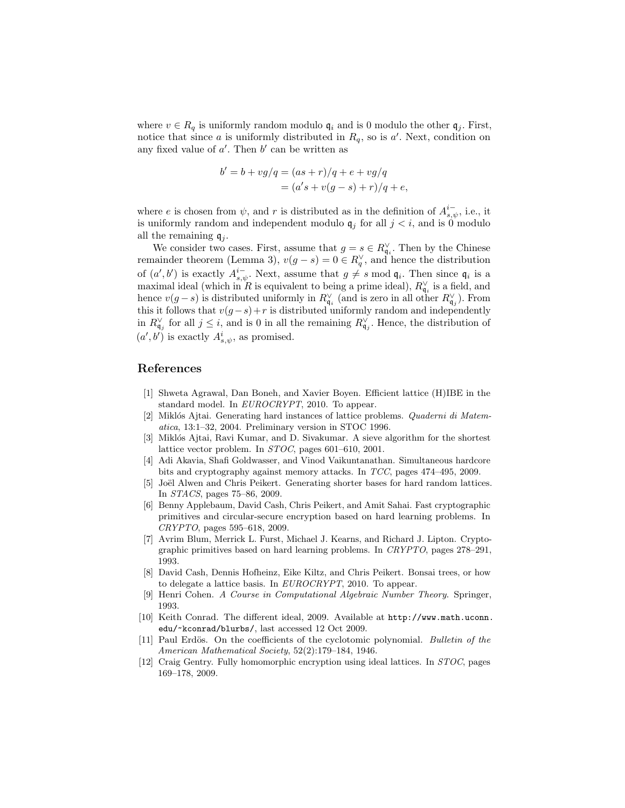where  $v \in R_q$  is uniformly random modulo  $\mathfrak{q}_i$  and is 0 modulo the other  $\mathfrak{q}_i$ . First, notice that since a is uniformly distributed in  $R_q$ , so is a'. Next, condition on any fixed value of  $a'$ . Then  $b'$  can be written as

$$
b' = b + v g/q = (as + r)/q + e + v g/q
$$
  
=  $(a's + v(g - s) + r)/q + e$ ,

where e is chosen from  $\psi$ , and r is distributed as in the definition of  $A^{i-}_{s,\psi}$ , i.e., it is uniformly random and independent modulo  $q_j$  for all  $j < i$ , and is 0 modulo all the remaining  $q_i$ .

We consider two cases. First, assume that  $g = s \in R_{\mathfrak{q}_i}^{\vee}$ . Then by the Chinese remainder theorem (Lemma 3),  $v(g - s) = 0 \in R_q^{\vee}$ , and hence the distribution of  $(a', b')$  is exactly  $A^{i-}_{s, \psi}$ . Next, assume that  $g \neq s \mod q_i$ . Then since  $q_i$  is a maximal ideal (which in R is equivalent to being a prime ideal),  $R_{\mathfrak{q}_i}^{\vee}$  is a field, and hence  $v(g-s)$  is distributed uniformly in  $R^{\vee}_{\mathfrak{q}_i}$  (and is zero in all other  $R^{\vee}_{\mathfrak{q}_j}$ ). From this it follows that  $v(g-s)+r$  is distributed uniformly random and independently in  $R^{\vee}_{\mathfrak{q}_j}$  for all  $j \leq i$ , and is 0 in all the remaining  $R^{\vee}_{\mathfrak{q}_j}$ . Hence, the distribution of  $(a', b')$  is exactly  $A^i_{s, \psi}$ , as promised.

# References

- [1] Shweta Agrawal, Dan Boneh, and Xavier Boyen. Efficient lattice (H)IBE in the standard model. In EUROCRYPT, 2010. To appear.
- [2] Miklós Ajtai. Generating hard instances of lattice problems. Quaderni di Matematica, 13:1–32, 2004. Preliminary version in STOC 1996.
- [3] Miklós Ajtai, Ravi Kumar, and D. Sivakumar. A sieve algorithm for the shortest lattice vector problem. In STOC, pages 601–610, 2001.
- [4] Adi Akavia, Shafi Goldwasser, and Vinod Vaikuntanathan. Simultaneous hardcore bits and cryptography against memory attacks. In TCC, pages 474–495, 2009.
- [5] Joël Alwen and Chris Peikert. Generating shorter bases for hard random lattices. In STACS, pages 75–86, 2009.
- [6] Benny Applebaum, David Cash, Chris Peikert, and Amit Sahai. Fast cryptographic primitives and circular-secure encryption based on hard learning problems. In CRYPTO, pages 595–618, 2009.
- [7] Avrim Blum, Merrick L. Furst, Michael J. Kearns, and Richard J. Lipton. Cryptographic primitives based on hard learning problems. In CRYPTO, pages 278–291, 1993.
- [8] David Cash, Dennis Hofheinz, Eike Kiltz, and Chris Peikert. Bonsai trees, or how to delegate a lattice basis. In EUROCRYPT, 2010. To appear.
- [9] Henri Cohen. A Course in Computational Algebraic Number Theory. Springer, 1993.
- [10] Keith Conrad. The different ideal, 2009. Available at http://www.math.uconn. edu/~kconrad/blurbs/, last accessed 12 Oct 2009.
- [11] Paul Erdös. On the coefficients of the cyclotomic polynomial. Bulletin of the American Mathematical Society, 52(2):179–184, 1946.
- [12] Craig Gentry. Fully homomorphic encryption using ideal lattices. In STOC, pages 169–178, 2009.